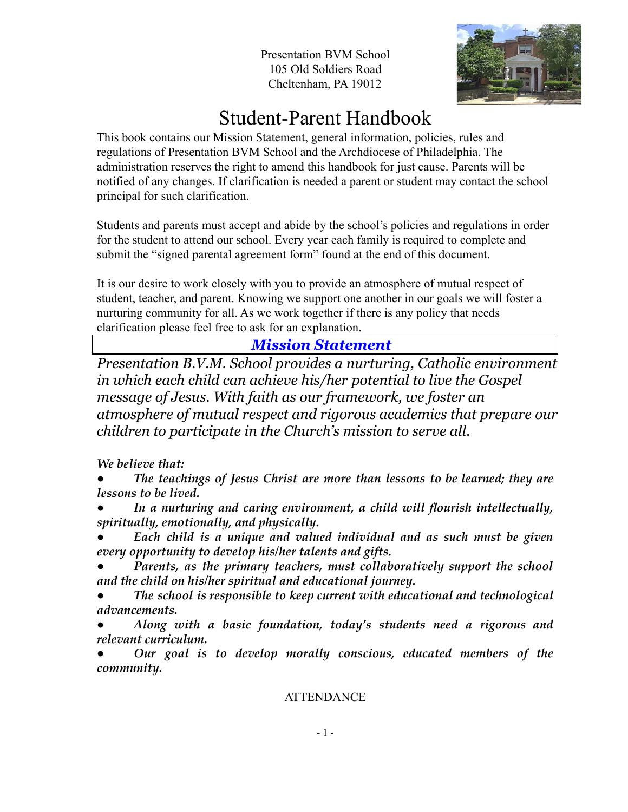Presentation BVM School 105 Old Soldiers Road Cheltenham, PA 19012



# Student-Parent Handbook

This book contains our Mission Statement, general information, policies, rules and regulations of Presentation BVM School and the Archdiocese of Philadelphia. The administration reserves the right to amend this handbook for just cause. Parents will be notified of any changes. If clarification is needed a parent or student may contact the school principal for such clarification.

Students and parents must accept and abide by the school's policies and regulations in order for the student to attend our school. Every year each family is required to complete and submit the "signed parental agreement form" found at the end of this document.

It is our desire to work closely with you to provide an atmosphere of mutual respect of student, teacher, and parent. Knowing we support one another in our goals we will foster a nurturing community for all. As we work together if there is any policy that needs clarification please feel free to ask for an explanation.

## *Mission Statement*

*Presentation B.V.M. School provides a nurturing, Catholic environment in which each child can achieve his/her potential to live the Gospel message of Jesus. With faith as our framework, we foster an atmosphere of mutual respect and rigorous academics that prepare our children to participate in the Church's mission to serve all.*

*We believe that:*

*● The teachings of Jesus Christ are more than lessons to be learned; they are lessons to be lived.*

*● In a nurturing and caring environment, a child will flourish intellectually, spiritually, emotionally, and physically.*

*● Each child is a unique and valued individual and as such must be given every opportunity to develop his/her talents and gifts.*

*● Parents, as the primary teachers, must collaboratively support the school and the child on his/her spiritual and educational journey.*

*● The school is responsible to keep current with educational and technological advancements.*

*● Along with a basic foundation, today's students need a rigorous and relevant curriculum.*

*● Our goal is to develop morally conscious, educated members of the community.*

## **ATTENDANCE**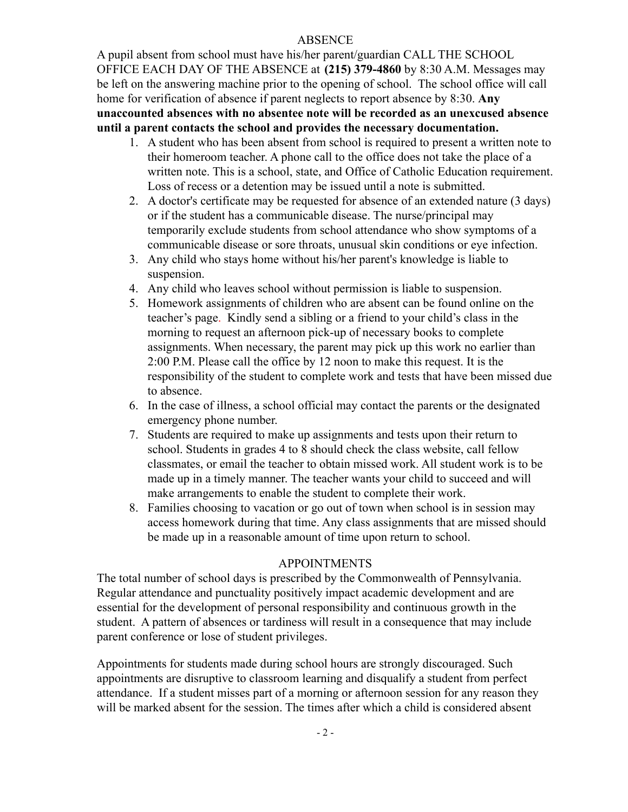#### ABSENCE

A pupil absent from school must have his/her parent/guardian CALL THE SCHOOL OFFICE EACH DAY OF THE ABSENCE at **(215) 379-4860** by 8:30 A.M. Messages may be left on the answering machine prior to the opening of school. The school office will call home for verification of absence if parent neglects to report absence by 8:30. **Any unaccounted absences with no absentee note will be recorded as an unexcused absence until a parent contacts the school and provides the necessary documentation.**

- 1. A student who has been absent from school is required to present a written note to their homeroom teacher. A phone call to the office does not take the place of a written note. This is a school, state, and Office of Catholic Education requirement. Loss of recess or a detention may be issued until a note is submitted.
- 2. A doctor's certificate may be requested for absence of an extended nature (3 days) or if the student has a communicable disease. The nurse/principal may temporarily exclude students from school attendance who show symptoms of a communicable disease or sore throats, unusual skin conditions or eye infection.
- 3. Any child who stays home without his/her parent's knowledge is liable to suspension.
- 4. Any child who leaves school without permission is liable to suspension.
- 5. Homework assignments of children who are absent can be found online on the teacher's page. Kindly send a sibling or a friend to your child's class in the morning to request an afternoon pick-up of necessary books to complete assignments. When necessary, the parent may pick up this work no earlier than 2:00 P.M. Please call the office by 12 noon to make this request. It is the responsibility of the student to complete work and tests that have been missed due to absence.
- 6. In the case of illness, a school official may contact the parents or the designated emergency phone number.
- 7. Students are required to make up assignments and tests upon their return to school. Students in grades 4 to 8 should check the class website, call fellow classmates, or email the teacher to obtain missed work. All student work is to be made up in a timely manner. The teacher wants your child to succeed and will make arrangements to enable the student to complete their work.
- 8. Families choosing to vacation or go out of town when school is in session may access homework during that time. Any class assignments that are missed should be made up in a reasonable amount of time upon return to school.

## APPOINTMENTS

The total number of school days is prescribed by the Commonwealth of Pennsylvania. Regular attendance and punctuality positively impact academic development and are essential for the development of personal responsibility and continuous growth in the student. A pattern of absences or tardiness will result in a consequence that may include parent conference or lose of student privileges.

Appointments for students made during school hours are strongly discouraged. Such appointments are disruptive to classroom learning and disqualify a student from perfect attendance. If a student misses part of a morning or afternoon session for any reason they will be marked absent for the session. The times after which a child is considered absent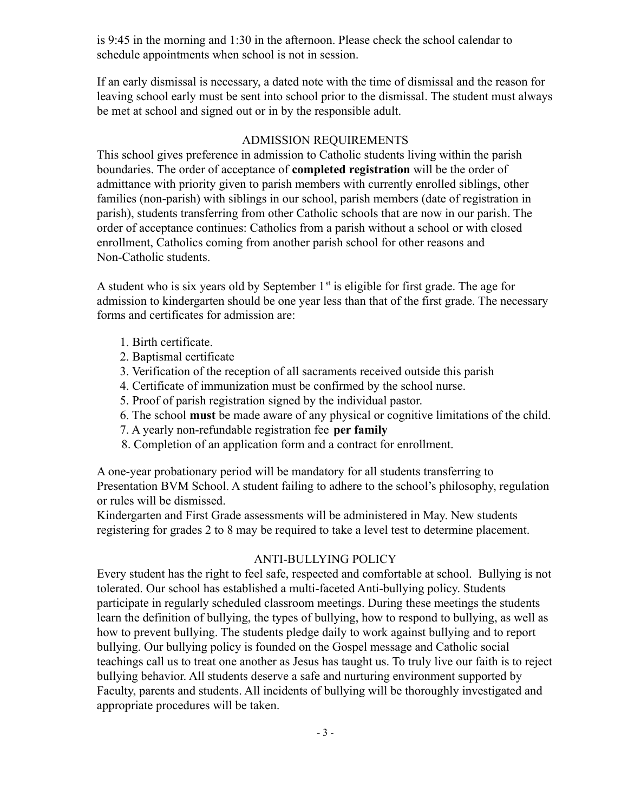is 9:45 in the morning and 1:30 in the afternoon. Please check the school calendar to schedule appointments when school is not in session.

If an early dismissal is necessary, a dated note with the time of dismissal and the reason for leaving school early must be sent into school prior to the dismissal. The student must always be met at school and signed out or in by the responsible adult.

#### ADMISSION REQUIREMENTS

This school gives preference in admission to Catholic students living within the parish boundaries. The order of acceptance of **completed registration** will be the order of admittance with priority given to parish members with currently enrolled siblings, other families (non-parish) with siblings in our school, parish members (date of registration in parish), students transferring from other Catholic schools that are now in our parish. The order of acceptance continues: Catholics from a parish without a school or with closed enrollment, Catholics coming from another parish school for other reasons and Non-Catholic students.

A student who is six years old by September  $1<sup>st</sup>$  is eligible for first grade. The age for admission to kindergarten should be one year less than that of the first grade. The necessary forms and certificates for admission are:

- 1. Birth certificate.
- 2. Baptismal certificate
- 3. Verification of the reception of all sacraments received outside this parish
- 4. Certificate of immunization must be confirmed by the school nurse.
- 5. Proof of parish registration signed by the individual pastor.
- 6. The school **must** be made aware of any physical or cognitive limitations of the child.
- 7. A yearly non-refundable registration fee **per family**
- 8. Completion of an application form and a contract for enrollment.

A one-year probationary period will be mandatory for all students transferring to Presentation BVM School. A student failing to adhere to the school's philosophy, regulation or rules will be dismissed.

Kindergarten and First Grade assessments will be administered in May. New students registering for grades 2 to 8 may be required to take a level test to determine placement.

## ANTI-BULLYING POLICY

Every student has the right to feel safe, respected and comfortable at school. Bullying is not tolerated. Our school has established a multi-faceted Anti-bullying policy. Students participate in regularly scheduled classroom meetings. During these meetings the students learn the definition of bullying, the types of bullying, how to respond to bullying, as well as how to prevent bullying. The students pledge daily to work against bullying and to report bullying. Our bullying policy is founded on the Gospel message and Catholic social teachings call us to treat one another as Jesus has taught us. To truly live our faith is to reject bullying behavior. All students deserve a safe and nurturing environment supported by Faculty, parents and students. All incidents of bullying will be thoroughly investigated and appropriate procedures will be taken.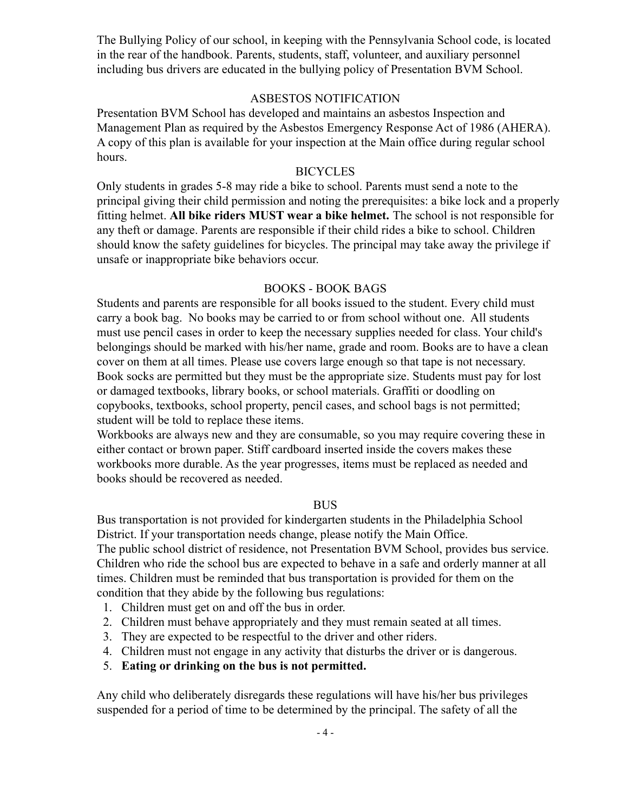The Bullying Policy of our school, in keeping with the Pennsylvania School code, is located in the rear of the handbook. Parents, students, staff, volunteer, and auxiliary personnel including bus drivers are educated in the bullying policy of Presentation BVM School.

#### ASBESTOS NOTIFICATION

Presentation BVM School has developed and maintains an asbestos Inspection and Management Plan as required by the Asbestos Emergency Response Act of 1986 (AHERA). A copy of this plan is available for your inspection at the Main office during regular school hours.

#### **BICYCLES**

Only students in grades 5-8 may ride a bike to school. Parents must send a note to the principal giving their child permission and noting the prerequisites: a bike lock and a properly fitting helmet. **All bike riders MUST wear a bike helmet.** The school is not responsible for any theft or damage. Parents are responsible if their child rides a bike to school. Children should know the safety guidelines for bicycles. The principal may take away the privilege if unsafe or inappropriate bike behaviors occur.

#### BOOKS - BOOK BAGS

Students and parents are responsible for all books issued to the student. Every child must carry a book bag. No books may be carried to or from school without one. All students must use pencil cases in order to keep the necessary supplies needed for class. Your child's belongings should be marked with his/her name, grade and room. Books are to have a clean cover on them at all times. Please use covers large enough so that tape is not necessary. Book socks are permitted but they must be the appropriate size. Students must pay for lost or damaged textbooks, library books, or school materials. Graffiti or doodling on copybooks, textbooks, school property, pencil cases, and school bags is not permitted; student will be told to replace these items.

Workbooks are always new and they are consumable, so you may require covering these in either contact or brown paper. Stiff cardboard inserted inside the covers makes these workbooks more durable. As the year progresses, items must be replaced as needed and books should be recovered as needed.

#### BUS

Bus transportation is not provided for kindergarten students in the Philadelphia School District. If your transportation needs change, please notify the Main Office.

The public school district of residence, not Presentation BVM School, provides bus service. Children who ride the school bus are expected to behave in a safe and orderly manner at all times. Children must be reminded that bus transportation is provided for them on the condition that they abide by the following bus regulations:

- 1. Children must get on and off the bus in order.
- 2. Children must behave appropriately and they must remain seated at all times.
- 3. They are expected to be respectful to the driver and other riders.
- 4. Children must not engage in any activity that disturbs the driver or is dangerous.
- 5. **Eating or drinking on the bus is not permitted.**

Any child who deliberately disregards these regulations will have his/her bus privileges suspended for a period of time to be determined by the principal. The safety of all the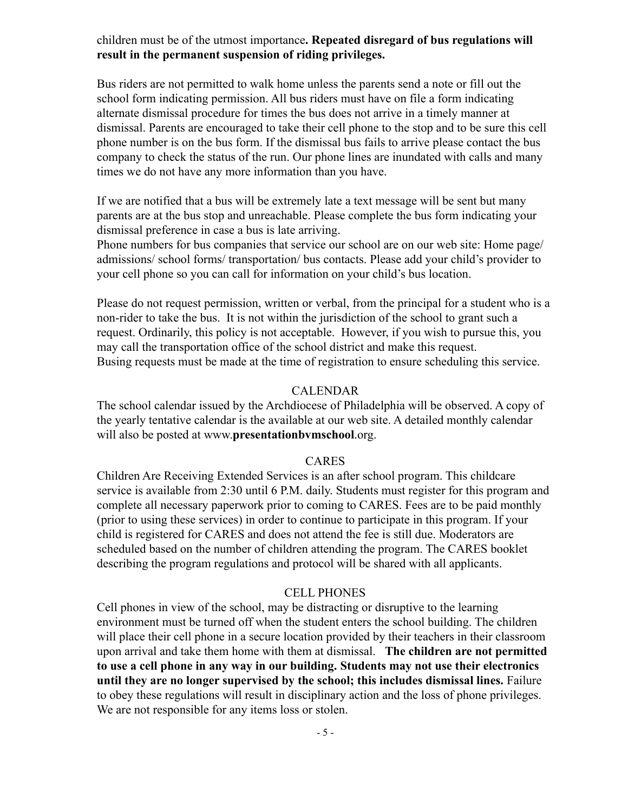#### children must be of the utmost importance**. Repeated disregard of bus regulations will result in the permanent suspension of riding privileges.**

Bus riders are not permitted to walk home unless the parents send a note or fill out the school form indicating permission. All bus riders must have on file a form indicating alternate dismissal procedure for times the bus does not arrive in a timely manner at dismissal. Parents are encouraged to take their cell phone to the stop and to be sure this cell phone number is on the bus form. If the dismissal bus fails to arrive please contact the bus company to check the status of the run. Our phone lines are inundated with calls and many times we do not have any more information than you have.

If we are notified that a bus will be extremely late a text message will be sent but many parents are at the bus stop and unreachable. Please complete the bus form indicating your dismissal preference in case a bus is late arriving.

Phone numbers for bus companies that service our school are on our web site: Home page/ admissions/ school forms/ transportation/ bus contacts. Please add your child's provider to your cell phone so you can call for information on your child's bus location.

Please do not request permission, written or verbal, from the principal for a student who is a non-rider to take the bus. It is not within the jurisdiction of the school to grant such a request. Ordinarily, this policy is not acceptable. However, if you wish to pursue this, you may call the transportation office of the school district and make this request. Busing requests must be made at the time of registration to ensure scheduling this service.

#### CALENDAR

The school calendar issued by the Archdiocese of Philadelphia will be observed. A copy of the yearly tentative calendar is the available at our web site. A detailed monthly calendar will also be posted at www.**presentationbvmschool**.org.

#### CARES

Children Are Receiving Extended Services is an after school program. This childcare service is available from 2:30 until 6 P.M. daily. Students must register for this program and complete all necessary paperwork prior to coming to CARES. Fees are to be paid monthly (prior to using these services) in order to continue to participate in this program. If your child is registered for CARES and does not attend the fee is still due. Moderators are scheduled based on the number of children attending the program. The CARES booklet describing the program regulations and protocol will be shared with all applicants.

#### CELL PHONES

Cell phones in view of the school, may be distracting or disruptive to the learning environment must be turned off when the student enters the school building. The children will place their cell phone in a secure location provided by their teachers in their classroom upon arrival and take them home with them at dismissal. **The children are not permitted to use a cell phone in any way in our building. Students may not use their electronics until they are no longer supervised by the school; this includes dismissal lines.** Failure to obey these regulations will result in disciplinary action and the loss of phone privileges. We are not responsible for any items loss or stolen.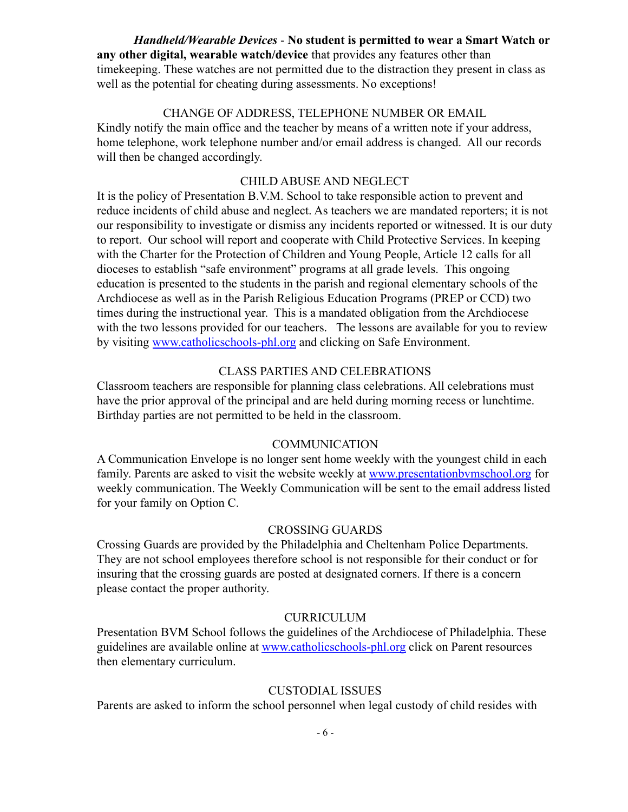*Handheld/Wearable Devices* - **No student is permitted to wear a Smart Watch or any other digital, wearable watch/device** that provides any features other than timekeeping. These watches are not permitted due to the distraction they present in class as well as the potential for cheating during assessments. No exceptions!

#### CHANGE OF ADDRESS, TELEPHONE NUMBER OR EMAIL

Kindly notify the main office and the teacher by means of a written note if your address, home telephone, work telephone number and/or email address is changed. All our records will then be changed accordingly.

#### CHILD ABUSE AND NEGLECT

It is the policy of Presentation B.V.M. School to take responsible action to prevent and reduce incidents of child abuse and neglect. As teachers we are mandated reporters; it is not our responsibility to investigate or dismiss any incidents reported or witnessed. It is our duty to report. Our school will report and cooperate with Child Protective Services. In keeping with the Charter for the Protection of Children and Young People, Article 12 calls for all dioceses to establish "safe environment" programs at all grade levels. This ongoing education is presented to the students in the parish and regional elementary schools of the Archdiocese as well as in the Parish Religious Education Programs (PREP or CCD) two times during the instructional year. This is a mandated obligation from the Archdiocese with the two lessons provided for our teachers. The lessons are available for you to review by visiting [www.catholicschools-phl.org](http://www.catholicschools-phl.org) and clicking on Safe Environment.

#### CLASS PARTIES AND CELEBRATIONS

Classroom teachers are responsible for planning class celebrations. All celebrations must have the prior approval of the principal and are held during morning recess or lunchtime. Birthday parties are not permitted to be held in the classroom.

#### COMMUNICATION

A Communication Envelope is no longer sent home weekly with the youngest child in each family. Parents are asked to visit the website weekly at www.presentationbymschool.org for weekly communication. The Weekly Communication will be sent to the email address listed for your family on Option C.

#### CROSSING GUARDS

Crossing Guards are provided by the Philadelphia and Cheltenham Police Departments. They are not school employees therefore school is not responsible for their conduct or for insuring that the crossing guards are posted at designated corners. If there is a concern please contact the proper authority.

#### CURRICULUM

Presentation BVM School follows the guidelines of the Archdiocese of Philadelphia. These guidelines are available online at [www.catholicschools-phl.org](http://www.catholicschools-phl.org) click on Parent resources then elementary curriculum.

#### CUSTODIAL ISSUES

Parents are asked to inform the school personnel when legal custody of child resides with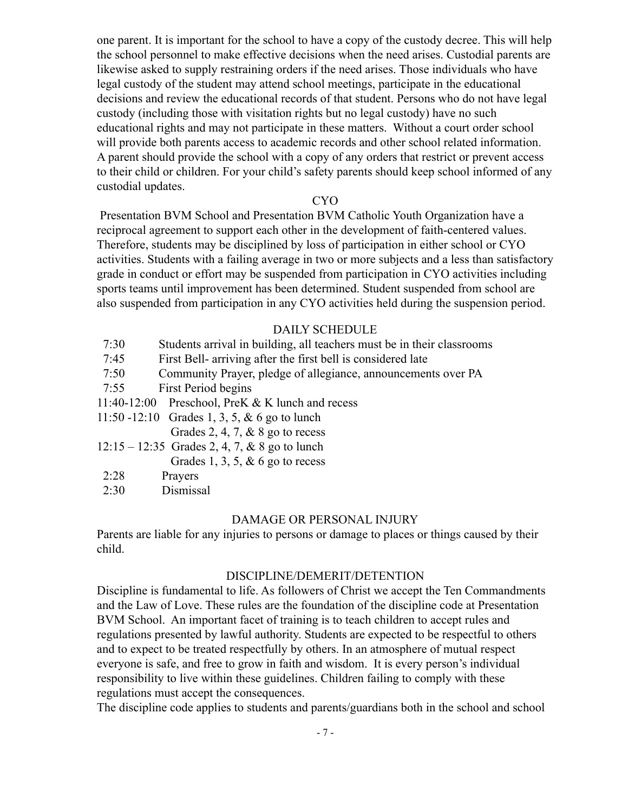one parent. It is important for the school to have a copy of the custody decree. This will help the school personnel to make effective decisions when the need arises. Custodial parents are likewise asked to supply restraining orders if the need arises. Those individuals who have legal custody of the student may attend school meetings, participate in the educational decisions and review the educational records of that student. Persons who do not have legal custody (including those with visitation rights but no legal custody) have no such educational rights and may not participate in these matters. Without a court order school will provide both parents access to academic records and other school related information. A parent should provide the school with a copy of any orders that restrict or prevent access to their child or children. For your child's safety parents should keep school informed of any custodial updates.

#### CYO

Presentation BVM School and Presentation BVM Catholic Youth Organization have a reciprocal agreement to support each other in the development of faith-centered values. Therefore, students may be disciplined by loss of participation in either school or CYO activities. Students with a failing average in two or more subjects and a less than satisfactory grade in conduct or effort may be suspended from participation in CYO activities including sports teams until improvement has been determined. Student suspended from school are also suspended from participation in any CYO activities held during the suspension period.

#### DAILY SCHEDULE

| 7:30 | Students arrival in building, all teachers must be in their classrooms |
|------|------------------------------------------------------------------------|
| 7:45 | First Bell- arriving after the first bell is considered late           |
| 7:50 | Community Prayer, pledge of allegiance, announcements over PA          |
| 7:55 | First Period begins                                                    |
|      | 11:40-12:00 Preschool, PreK & K lunch and recess                       |
|      | 11:50 -12:10 Grades 1, 3, 5, & 6 go to lunch                           |
|      | Grades 2, 4, 7, $\&$ 8 go to recess                                    |
|      | $12:15 - 12:35$ Grades 2, 4, 7, & 8 go to lunch                        |
|      | Grades 1, 3, 5, $\&$ 6 go to recess                                    |
| 2:28 | Prayers                                                                |

2:30 Dismissal

#### DAMAGE OR PERSONAL INJURY

Parents are liable for any injuries to persons or damage to places or things caused by their child.

#### DISCIPLINE/DEMERIT/DETENTION

Discipline is fundamental to life. As followers of Christ we accept the Ten Commandments and the Law of Love. These rules are the foundation of the discipline code at Presentation BVM School. An important facet of training is to teach children to accept rules and regulations presented by lawful authority. Students are expected to be respectful to others and to expect to be treated respectfully by others. In an atmosphere of mutual respect everyone is safe, and free to grow in faith and wisdom. It is every person's individual responsibility to live within these guidelines. Children failing to comply with these regulations must accept the consequences.

The discipline code applies to students and parents/guardians both in the school and school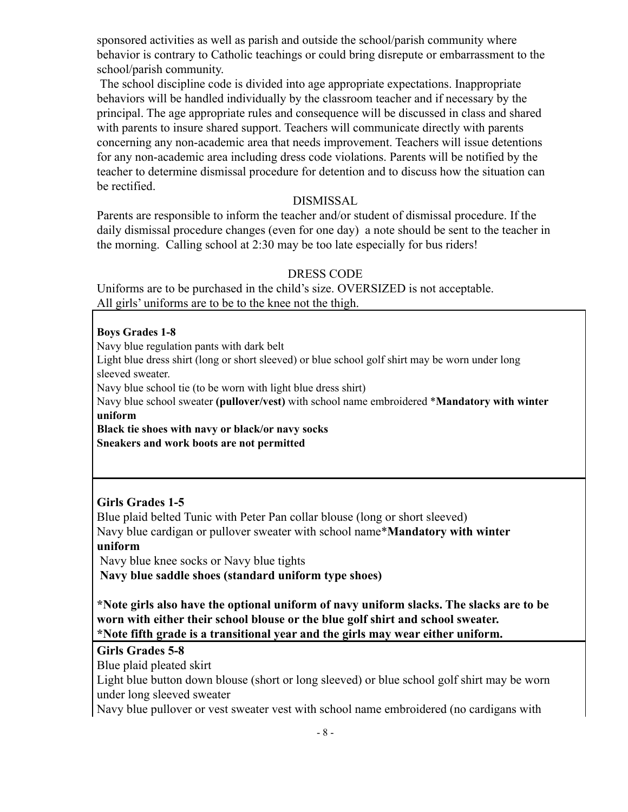sponsored activities as well as parish and outside the school/parish community where behavior is contrary to Catholic teachings or could bring disrepute or embarrassment to the school/parish community.

The school discipline code is divided into age appropriate expectations. Inappropriate behaviors will be handled individually by the classroom teacher and if necessary by the principal. The age appropriate rules and consequence will be discussed in class and shared with parents to insure shared support. Teachers will communicate directly with parents concerning any non-academic area that needs improvement. Teachers will issue detentions for any non-academic area including dress code violations. Parents will be notified by the teacher to determine dismissal procedure for detention and to discuss how the situation can be rectified.

#### DISMISSAL

Parents are responsible to inform the teacher and/or student of dismissal procedure. If the daily dismissal procedure changes (even for one day) a note should be sent to the teacher in the morning. Calling school at 2:30 may be too late especially for bus riders!

#### DRESS CODE

Uniforms are to be purchased in the child's size. OVERSIZED is not acceptable. All girls' uniforms are to be to the knee not the thigh.

#### **Boys Grades 1-8**

Navy blue regulation pants with dark belt

Light blue dress shirt (long or short sleeved) or blue school golf shirt may be worn under long sleeved sweater.

Navy blue school tie (to be worn with light blue dress shirt)

Navy blue school sweater **(pullover/vest)** with school name embroidered \***Mandatory with winter uniform**

**Black tie shoes with navy or black/or navy socks Sneakers and work boots are not permitted**

## **Girls Grades 1-5**

Blue plaid belted Tunic with Peter Pan collar blouse (long or short sleeved) Navy blue cardigan or pullover sweater with school name\***Mandatory with winter uniform**

Navy blue knee socks or Navy blue tights **Navy blue saddle shoes (standard uniform type shoes)**

**\*Note girls also have the optional uniform of navy uniform slacks. The slacks are to be worn with either their school blouse or the blue golf shirt and school sweater. \*Note fifth grade is a transitional year and the girls may wear either uniform.**

## **Girls Grades 5-8**

Blue plaid pleated skirt

Light blue button down blouse (short or long sleeved) or blue school golf shirt may be worn under long sleeved sweater

Navy blue pullover or vest sweater vest with school name embroidered (no cardigans with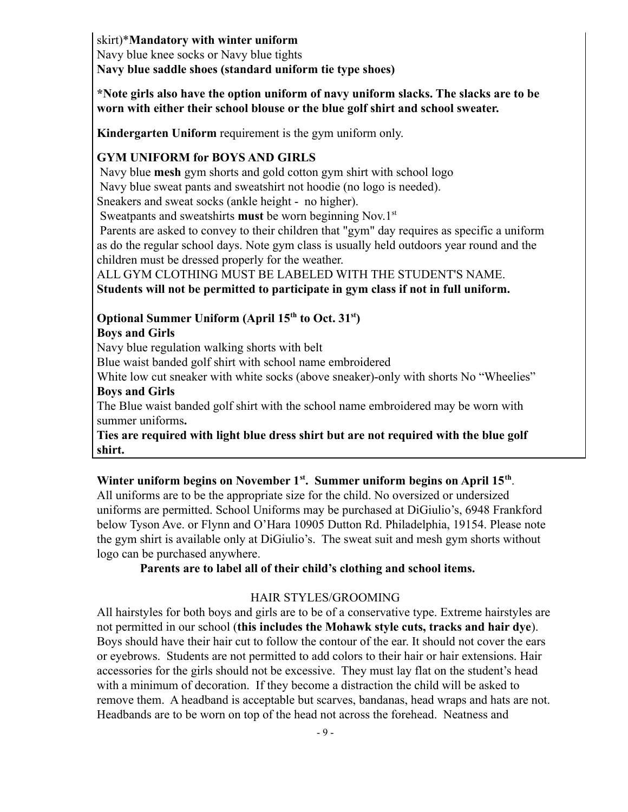skirt)\***Mandatory with winter uniform** Navy blue knee socks or Navy blue tights **Navy blue saddle shoes (standard uniform tie type shoes)**

**\*Note girls also have the option uniform of navy uniform slacks. The slacks are to be worn with either their school blouse or the blue golf shirt and school sweater.**

**Kindergarten Uniform** requirement is the gym uniform only.

## **GYM UNIFORM for BOYS AND GIRLS**

Navy blue **mesh** gym shorts and gold cotton gym shirt with school logo Navy blue sweat pants and sweatshirt not hoodie (no logo is needed).

Sneakers and sweat socks (ankle height - no higher).

Sweatpants and sweatshirts **must** be worn beginning Nov.1<sup>st</sup>

Parents are asked to convey to their children that "gym" day requires as specific a uniform as do the regular school days. Note gym class is usually held outdoors year round and the children must be dressed properly for the weather.

ALL GYM CLOTHING MUST BE LABELED WITH THE STUDENT'S NAME. **Students will not be permitted to participate in gym class if not in full uniform.**

## **Optional Summer Uniform (April 15th to Oct. 31st )**

## **Boys and Girls**

Navy blue regulation walking shorts with belt

Blue waist banded golf shirt with school name embroidered

White low cut sneaker with white socks (above sneaker)-only with shorts No "Wheelies" **Boys and Girls**

The Blue waist banded golf shirt with the school name embroidered may be worn with summer uniforms**.**

**Ties are required with light blue dress shirt but are not required with the blue golf shirt.**

## **Winter uniform begins on November 1st . Summer uniform begins on April 15th** .

All uniforms are to be the appropriate size for the child. No oversized or undersized uniforms are permitted. School Uniforms may be purchased at DiGiulio's, 6948 Frankford below Tyson Ave. or Flynn and O'Hara 10905 Dutton Rd. Philadelphia, 19154. Please note the gym shirt is available only at DiGiulio's. The sweat suit and mesh gym shorts without logo can be purchased anywhere.

## **Parents are to label all of their child's clothing and school items.**

## HAIR STYLES/GROOMING

All hairstyles for both boys and girls are to be of a conservative type. Extreme hairstyles are not permitted in our school (**this includes the Mohawk style cuts, tracks and hair dye**). Boys should have their hair cut to follow the contour of the ear. It should not cover the ears or eyebrows. Students are not permitted to add colors to their hair or hair extensions. Hair accessories for the girls should not be excessive. They must lay flat on the student's head with a minimum of decoration. If they become a distraction the child will be asked to remove them. A headband is acceptable but scarves, bandanas, head wraps and hats are not. Headbands are to be worn on top of the head not across the forehead. Neatness and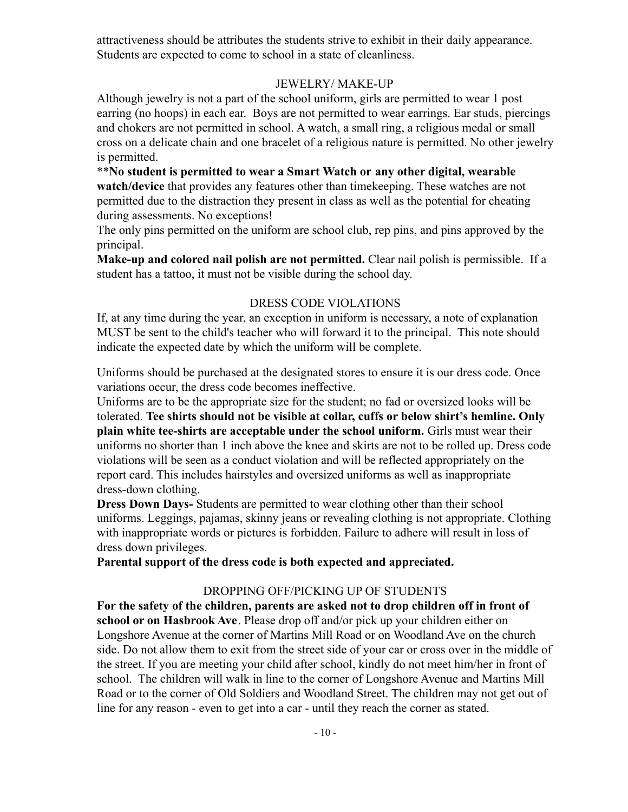attractiveness should be attributes the students strive to exhibit in their daily appearance. Students are expected to come to school in a state of cleanliness.

## JEWELRY/ MAKE-UP

Although jewelry is not a part of the school uniform, girls are permitted to wear 1 post earring (no hoops) in each ear. Boys are not permitted to wear earrings. Ear studs, piercings and chokers are not permitted in school. A watch, a small ring, a religious medal or small cross on a delicate chain and one bracelet of a religious nature is permitted. No other jewelry is permitted.

\*\***No student is permitted to wear a Smart Watch or any other digital, wearable watch/device** that provides any features other than timekeeping. These watches are not permitted due to the distraction they present in class as well as the potential for cheating during assessments. No exceptions!

The only pins permitted on the uniform are school club, rep pins, and pins approved by the principal.

**Make-up and colored nail polish are not permitted.** Clear nail polish is permissible. If a student has a tattoo, it must not be visible during the school day.

## DRESS CODE VIOLATIONS

If, at any time during the year, an exception in uniform is necessary, a note of explanation MUST be sent to the child's teacher who will forward it to the principal. This note should indicate the expected date by which the uniform will be complete.

Uniforms should be purchased at the designated stores to ensure it is our dress code. Once variations occur, the dress code becomes ineffective.

Uniforms are to be the appropriate size for the student; no fad or oversized looks will be tolerated. **Tee shirts should not be visible at collar, cuffs or below shirt's hemline. Only plain white tee-shirts are acceptable under the school uniform.** Girls must wear their uniforms no shorter than 1 inch above the knee and skirts are not to be rolled up. Dress code violations will be seen as a conduct violation and will be reflected appropriately on the report card. This includes hairstyles and oversized uniforms as well as inappropriate dress-down clothing.

**Dress Down Days-** Students are permitted to wear clothing other than their school uniforms. Leggings, pajamas, skinny jeans or revealing clothing is not appropriate. Clothing with inappropriate words or pictures is forbidden. Failure to adhere will result in loss of dress down privileges.

**Parental support of the dress code is both expected and appreciated.**

## DROPPING OFF/PICKING UP OF STUDENTS

**For the safety of the children, parents are asked not to drop children off in front of school or on Hasbrook Ave**. Please drop off and/or pick up your children either on Longshore Avenue at the corner of Martins Mill Road or on Woodland Ave on the church side. Do not allow them to exit from the street side of your car or cross over in the middle of the street. If you are meeting your child after school, kindly do not meet him/her in front of school. The children will walk in line to the corner of Longshore Avenue and Martins Mill Road or to the corner of Old Soldiers and Woodland Street. The children may not get out of line for any reason - even to get into a car - until they reach the corner as stated.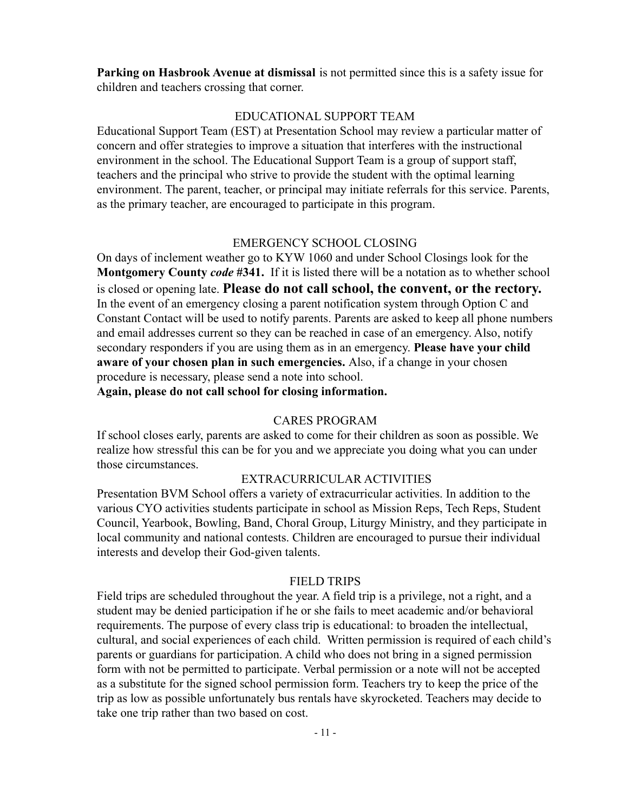**Parking on Hasbrook Avenue at dismissal** is not permitted since this is a safety issue for children and teachers crossing that corner.

## EDUCATIONAL SUPPORT TEAM

Educational Support Team (EST) at Presentation School may review a particular matter of concern and offer strategies to improve a situation that interferes with the instructional environment in the school. The Educational Support Team is a group of support staff, teachers and the principal who strive to provide the student with the optimal learning environment. The parent, teacher, or principal may initiate referrals for this service. Parents, as the primary teacher, are encouraged to participate in this program.

#### EMERGENCY SCHOOL CLOSING

On days of inclement weather go to KYW 1060 and under School Closings look for the **Montgomery County** *code* **#341.** If it is listed there will be a notation as to whether school is closed or opening late. **Please do not call school, the convent, or the rectory.** In the event of an emergency closing a parent notification system through Option C and Constant Contact will be used to notify parents. Parents are asked to keep all phone numbers and email addresses current so they can be reached in case of an emergency. Also, notify secondary responders if you are using them as in an emergency. **Please have your child aware of your chosen plan in such emergencies.** Also, if a change in your chosen procedure is necessary, please send a note into school.

**Again, please do not call school for closing information.**

## CARES PROGRAM

If school closes early, parents are asked to come for their children as soon as possible. We realize how stressful this can be for you and we appreciate you doing what you can under those circumstances.

#### EXTRACURRICULAR ACTIVITIES

Presentation BVM School offers a variety of extracurricular activities. In addition to the various CYO activities students participate in school as Mission Reps, Tech Reps, Student Council, Yearbook, Bowling, Band, Choral Group, Liturgy Ministry, and they participate in local community and national contests. Children are encouraged to pursue their individual interests and develop their God-given talents.

#### FIELD TRIPS

Field trips are scheduled throughout the year. A field trip is a privilege, not a right, and a student may be denied participation if he or she fails to meet academic and/or behavioral requirements. The purpose of every class trip is educational: to broaden the intellectual, cultural, and social experiences of each child. Written permission is required of each child's parents or guardians for participation. A child who does not bring in a signed permission form with not be permitted to participate. Verbal permission or a note will not be accepted as a substitute for the signed school permission form. Teachers try to keep the price of the trip as low as possible unfortunately bus rentals have skyrocketed. Teachers may decide to take one trip rather than two based on cost.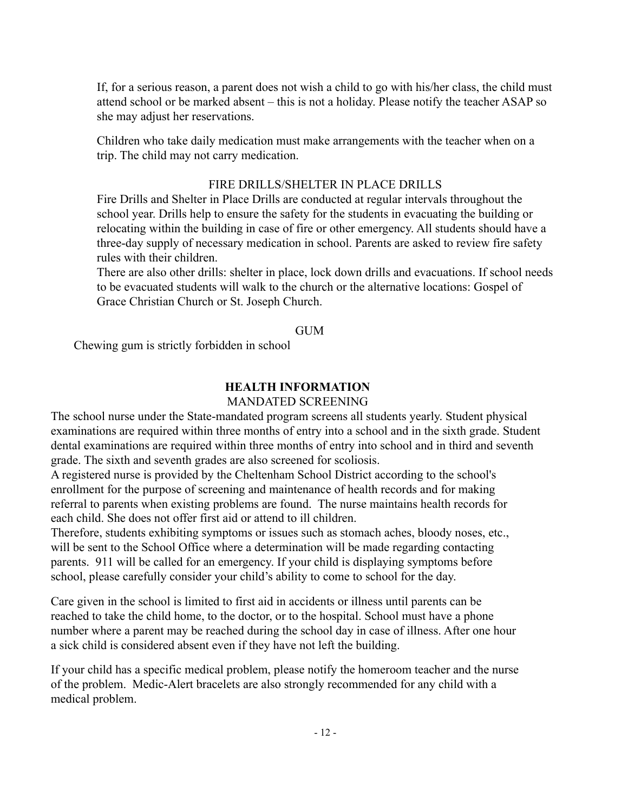If, for a serious reason, a parent does not wish a child to go with his/her class, the child must attend school or be marked absent – this is not a holiday. Please notify the teacher ASAP so she may adjust her reservations.

Children who take daily medication must make arrangements with the teacher when on a trip. The child may not carry medication.

#### FIRE DRILLS/SHELTER IN PLACE DRILLS

Fire Drills and Shelter in Place Drills are conducted at regular intervals throughout the school year. Drills help to ensure the safety for the students in evacuating the building or relocating within the building in case of fire or other emergency. All students should have a three-day supply of necessary medication in school. Parents are asked to review fire safety rules with their children.

There are also other drills: shelter in place, lock down drills and evacuations. If school needs to be evacuated students will walk to the church or the alternative locations: Gospel of Grace Christian Church or St. Joseph Church.

#### **GUM**

Chewing gum is strictly forbidden in school

## **HEALTH INFORMATION**

#### MANDATED SCREENING

The school nurse under the State-mandated program screens all students yearly. Student physical examinations are required within three months of entry into a school and in the sixth grade. Student dental examinations are required within three months of entry into school and in third and seventh grade. The sixth and seventh grades are also screened for scoliosis.

A registered nurse is provided by the Cheltenham School District according to the school's enrollment for the purpose of screening and maintenance of health records and for making referral to parents when existing problems are found. The nurse maintains health records for each child. She does not offer first aid or attend to ill children.

Therefore, students exhibiting symptoms or issues such as stomach aches, bloody noses, etc., will be sent to the School Office where a determination will be made regarding contacting parents. 911 will be called for an emergency. If your child is displaying symptoms before school, please carefully consider your child's ability to come to school for the day.

Care given in the school is limited to first aid in accidents or illness until parents can be reached to take the child home, to the doctor, or to the hospital. School must have a phone number where a parent may be reached during the school day in case of illness. After one hour a sick child is considered absent even if they have not left the building.

If your child has a specific medical problem, please notify the homeroom teacher and the nurse of the problem. Medic-Alert bracelets are also strongly recommended for any child with a medical problem.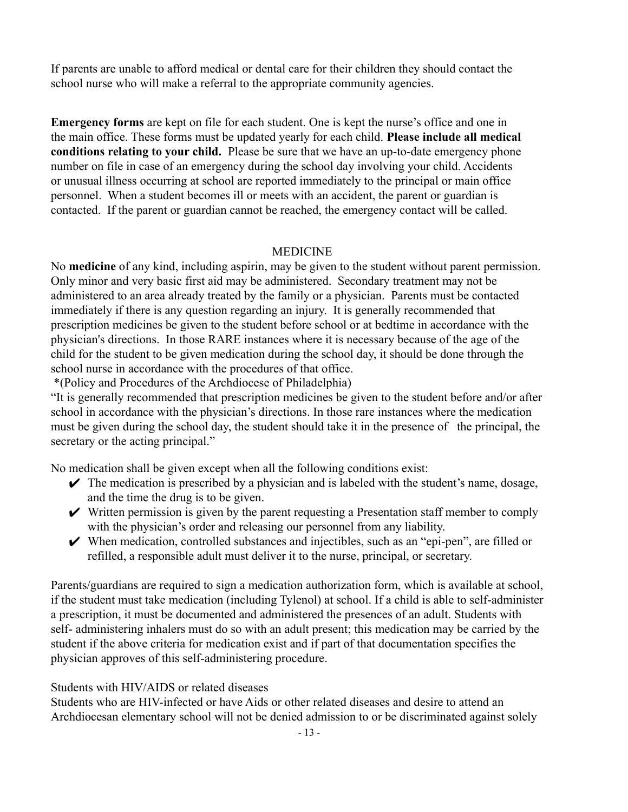If parents are unable to afford medical or dental care for their children they should contact the school nurse who will make a referral to the appropriate community agencies.

**Emergency forms** are kept on file for each student. One is kept the nurse's office and one in the main office. These forms must be updated yearly for each child. **Please include all medical conditions relating to your child.** Please be sure that we have an up-to-date emergency phone number on file in case of an emergency during the school day involving your child. Accidents or unusual illness occurring at school are reported immediately to the principal or main office personnel. When a student becomes ill or meets with an accident, the parent or guardian is contacted. If the parent or guardian cannot be reached, the emergency contact will be called.

#### MEDICINE

No **medicine** of any kind, including aspirin, may be given to the student without parent permission. Only minor and very basic first aid may be administered. Secondary treatment may not be administered to an area already treated by the family or a physician. Parents must be contacted immediately if there is any question regarding an injury. It is generally recommended that prescription medicines be given to the student before school or at bedtime in accordance with the physician's directions. In those RARE instances where it is necessary because of the age of the child for the student to be given medication during the school day, it should be done through the school nurse in accordance with the procedures of that office.

\*(Policy and Procedures of the Archdiocese of Philadelphia)

"It is generally recommended that prescription medicines be given to the student before and/or after school in accordance with the physician's directions. In those rare instances where the medication must be given during the school day, the student should take it in the presence of the principal, the secretary or the acting principal."

No medication shall be given except when all the following conditions exist:

- $\blacktriangleright$  The medication is prescribed by a physician and is labeled with the student's name, dosage, and the time the drug is to be given.
- $\vee$  Written permission is given by the parent requesting a Presentation staff member to comply with the physician's order and releasing our personnel from any liability.
- $\vee$  When medication, controlled substances and injectibles, such as an "epi-pen", are filled or refilled, a responsible adult must deliver it to the nurse, principal, or secretary.

Parents/guardians are required to sign a medication authorization form, which is available at school, if the student must take medication (including Tylenol) at school. If a child is able to self-administer a prescription, it must be documented and administered the presences of an adult. Students with self- administering inhalers must do so with an adult present; this medication may be carried by the student if the above criteria for medication exist and if part of that documentation specifies the physician approves of this self-administering procedure.

#### Students with HIV/AIDS or related diseases

Students who are HIV-infected or have Aids or other related diseases and desire to attend an Archdiocesan elementary school will not be denied admission to or be discriminated against solely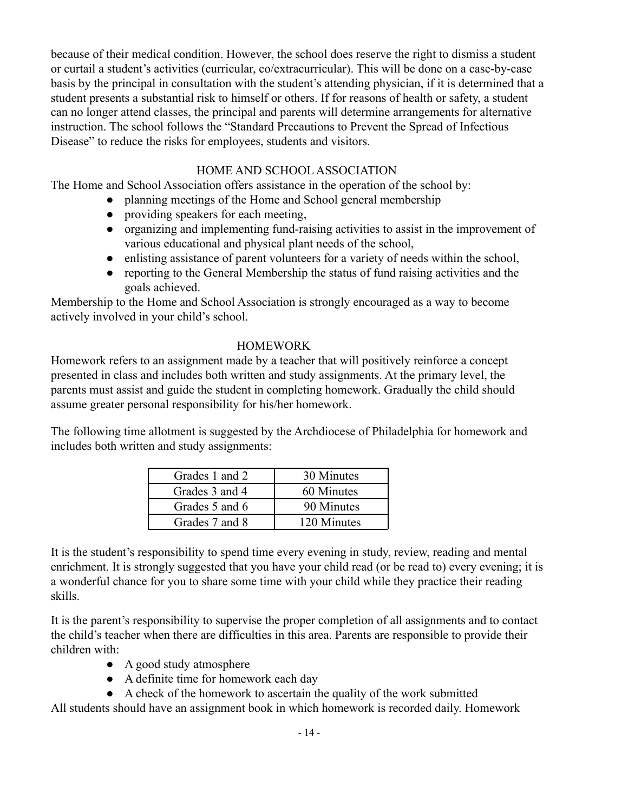because of their medical condition. However, the school does reserve the right to dismiss a student or curtail a student's activities (curricular, co/extracurricular). This will be done on a case-by-case basis by the principal in consultation with the student's attending physician, if it is determined that a student presents a substantial risk to himself or others. If for reasons of health or safety, a student can no longer attend classes, the principal and parents will determine arrangements for alternative instruction. The school follows the "Standard Precautions to Prevent the Spread of Infectious Disease" to reduce the risks for employees, students and visitors.

## HOME AND SCHOOL ASSOCIATION

The Home and School Association offers assistance in the operation of the school by:

- planning meetings of the Home and School general membership
- providing speakers for each meeting,
- organizing and implementing fund-raising activities to assist in the improvement of various educational and physical plant needs of the school,
- enlisting assistance of parent volunteers for a variety of needs within the school,
- reporting to the General Membership the status of fund raising activities and the goals achieved.

Membership to the Home and School Association is strongly encouraged as a way to become actively involved in your child's school.

#### **HOMEWORK**

Homework refers to an assignment made by a teacher that will positively reinforce a concept presented in class and includes both written and study assignments. At the primary level, the parents must assist and guide the student in completing homework. Gradually the child should assume greater personal responsibility for his/her homework.

The following time allotment is suggested by the Archdiocese of Philadelphia for homework and includes both written and study assignments:

| Grades 1 and 2 | 30 Minutes  |
|----------------|-------------|
| Grades 3 and 4 | 60 Minutes  |
| Grades 5 and 6 | 90 Minutes  |
| Grades 7 and 8 | 120 Minutes |

It is the student's responsibility to spend time every evening in study, review, reading and mental enrichment. It is strongly suggested that you have your child read (or be read to) every evening; it is a wonderful chance for you to share some time with your child while they practice their reading skills.

It is the parent's responsibility to supervise the proper completion of all assignments and to contact the child's teacher when there are difficulties in this area. Parents are responsible to provide their children with:

- A good study atmosphere
- A definite time for homework each day
- A check of the homework to ascertain the quality of the work submitted

All students should have an assignment book in which homework is recorded daily. Homework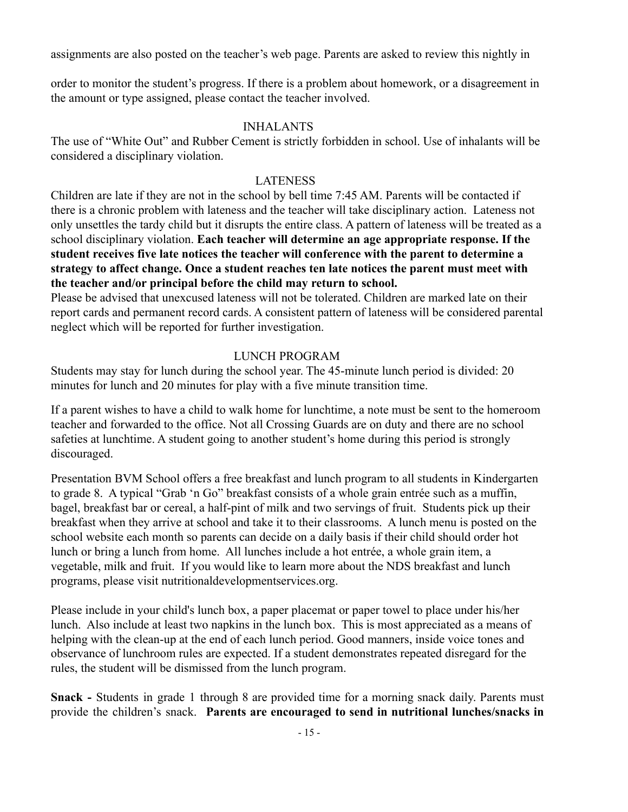assignments are also posted on the teacher's web page. Parents are asked to review this nightly in

order to monitor the student's progress. If there is a problem about homework, or a disagreement in the amount or type assigned, please contact the teacher involved.

## INHALANTS

The use of "White Out" and Rubber Cement is strictly forbidden in school. Use of inhalants will be considered a disciplinary violation.

## LATENESS

Children are late if they are not in the school by bell time 7:45 AM. Parents will be contacted if there is a chronic problem with lateness and the teacher will take disciplinary action. Lateness not only unsettles the tardy child but it disrupts the entire class. A pattern of lateness will be treated as a school disciplinary violation. **Each teacher will determine an age appropriate response. If the student receives five late notices the teacher will conference with the parent to determine a strategy to affect change. Once a student reaches ten late notices the parent must meet with the teacher and/or principal before the child may return to school.**

Please be advised that unexcused lateness will not be tolerated. Children are marked late on their report cards and permanent record cards. A consistent pattern of lateness will be considered parental neglect which will be reported for further investigation.

## LUNCH PROGRAM

Students may stay for lunch during the school year. The 45-minute lunch period is divided: 20 minutes for lunch and 20 minutes for play with a five minute transition time.

If a parent wishes to have a child to walk home for lunchtime, a note must be sent to the homeroom teacher and forwarded to the office. Not all Crossing Guards are on duty and there are no school safeties at lunchtime. A student going to another student's home during this period is strongly discouraged.

Presentation BVM School offers a free breakfast and lunch program to all students in Kindergarten to grade 8. A typical "Grab 'n Go" breakfast consists of a whole grain entrée such as a muffin, bagel, breakfast bar or cereal, a half-pint of milk and two servings of fruit. Students pick up their breakfast when they arrive at school and take it to their classrooms. A lunch menu is posted on the school website each month so parents can decide on a daily basis if their child should order hot lunch or bring a lunch from home. All lunches include a hot entrée, a whole grain item, a vegetable, milk and fruit. If you would like to learn more about the NDS breakfast and lunch programs, please visit nutritionaldevelopmentservices.org.

Please include in your child's lunch box, a paper placemat or paper towel to place under his/her lunch. Also include at least two napkins in the lunch box. This is most appreciated as a means of helping with the clean-up at the end of each lunch period. Good manners, inside voice tones and observance of lunchroom rules are expected. If a student demonstrates repeated disregard for the rules, the student will be dismissed from the lunch program.

**Snack -** Students in grade 1 through 8 are provided time for a morning snack daily. Parents must provide the children's snack. **Parents are encouraged to send in nutritional lunches/snacks in**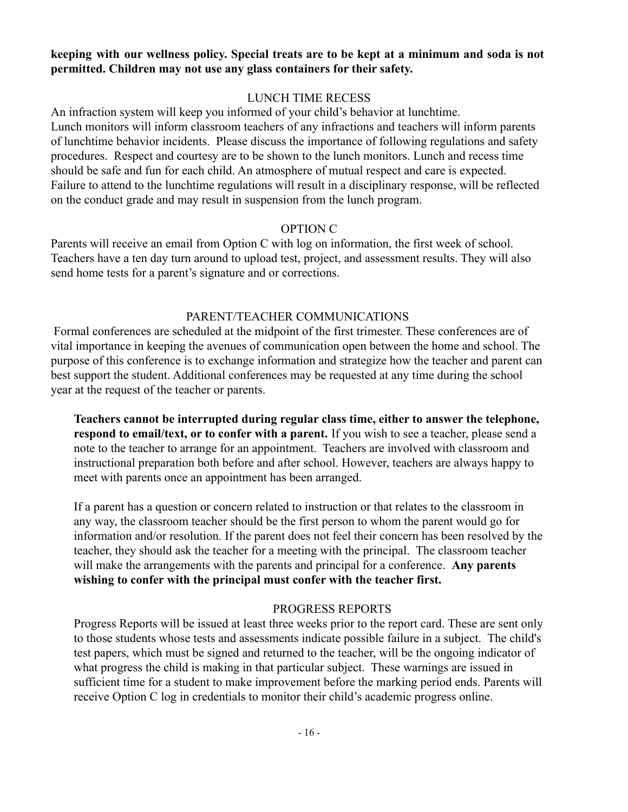#### **keeping with our wellness policy. Special treats are to be kept at a minimum and soda is not permitted. Children may not use any glass containers for their safety.**

## LUNCH TIME RECESS

An infraction system will keep you informed of your child's behavior at lunchtime. Lunch monitors will inform classroom teachers of any infractions and teachers will inform parents of lunchtime behavior incidents. Please discuss the importance of following regulations and safety procedures. Respect and courtesy are to be shown to the lunch monitors. Lunch and recess time should be safe and fun for each child. An atmosphere of mutual respect and care is expected. Failure to attend to the lunchtime regulations will result in a disciplinary response, will be reflected on the conduct grade and may result in suspension from the lunch program.

## OPTION C

Parents will receive an email from Option C with log on information, the first week of school. Teachers have a ten day turn around to upload test, project, and assessment results. They will also send home tests for a parent's signature and or corrections.

## PARENT/TEACHER COMMUNICATIONS

Formal conferences are scheduled at the midpoint of the first trimester. These conferences are of vital importance in keeping the avenues of communication open between the home and school. The purpose of this conference is to exchange information and strategize how the teacher and parent can best support the student. Additional conferences may be requested at any time during the school year at the request of the teacher or parents.

**Teachers cannot be interrupted during regular class time, either to answer the telephone, respond to email/text, or to confer with a parent.** If you wish to see a teacher, please send a note to the teacher to arrange for an appointment. Teachers are involved with classroom and instructional preparation both before and after school. However, teachers are always happy to meet with parents once an appointment has been arranged.

If a parent has a question or concern related to instruction or that relates to the classroom in any way, the classroom teacher should be the first person to whom the parent would go for information and/or resolution. If the parent does not feel their concern has been resolved by the teacher, they should ask the teacher for a meeting with the principal. The classroom teacher will make the arrangements with the parents and principal for a conference. **Any parents wishing to confer with the principal must confer with the teacher first.**

## PROGRESS REPORTS

Progress Reports will be issued at least three weeks prior to the report card. These are sent only to those students whose tests and assessments indicate possible failure in a subject. The child's test papers, which must be signed and returned to the teacher, will be the ongoing indicator of what progress the child is making in that particular subject. These warnings are issued in sufficient time for a student to make improvement before the marking period ends. Parents will receive Option C log in credentials to monitor their child's academic progress online.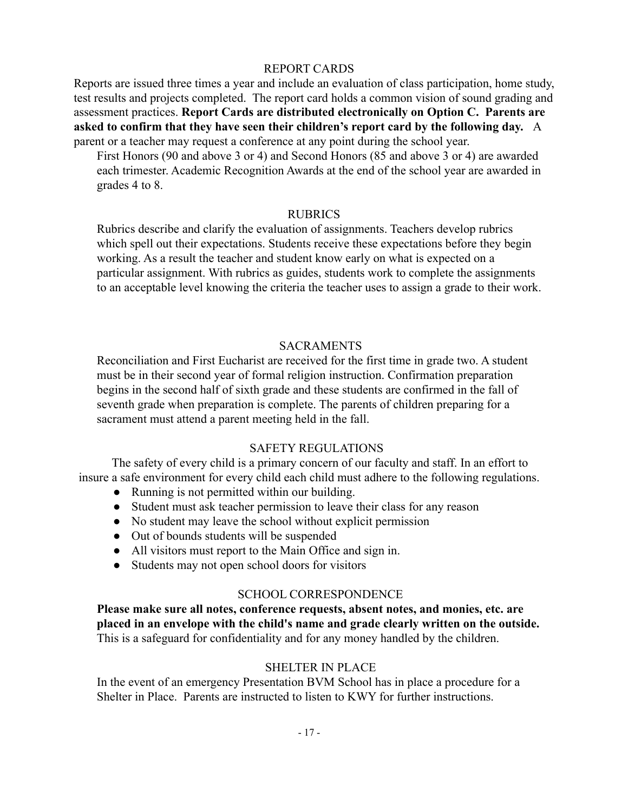#### REPORT CARDS

Reports are issued three times a year and include an evaluation of class participation, home study, test results and projects completed. The report card holds a common vision of sound grading and assessment practices. **Report Cards are distributed electronically on Option C. Parents are asked to confirm that they have seen their children's report card by the following day.** A parent or a teacher may request a conference at any point during the school year.

First Honors (90 and above 3 or 4) and Second Honors (85 and above 3 or 4) are awarded each trimester. Academic Recognition Awards at the end of the school year are awarded in grades 4 to 8.

#### RUBRICS

Rubrics describe and clarify the evaluation of assignments. Teachers develop rubrics which spell out their expectations. Students receive these expectations before they begin working. As a result the teacher and student know early on what is expected on a particular assignment. With rubrics as guides, students work to complete the assignments to an acceptable level knowing the criteria the teacher uses to assign a grade to their work.

#### **SACRAMENTS**

Reconciliation and First Eucharist are received for the first time in grade two. A student must be in their second year of formal religion instruction. Confirmation preparation begins in the second half of sixth grade and these students are confirmed in the fall of seventh grade when preparation is complete. The parents of children preparing for a sacrament must attend a parent meeting held in the fall.

## SAFETY REGULATIONS

The safety of every child is a primary concern of our faculty and staff. In an effort to insure a safe environment for every child each child must adhere to the following regulations.

- Running is not permitted within our building.
- Student must ask teacher permission to leave their class for any reason
- No student may leave the school without explicit permission
- Out of bounds students will be suspended
- All visitors must report to the Main Office and sign in.
- Students may not open school doors for visitors

## SCHOOL CORRESPONDENCE

**Please make sure all notes, conference requests, absent notes, and monies, etc. are placed in an envelope with the child's name and grade clearly written on the outside.** This is a safeguard for confidentiality and for any money handled by the children.

## SHELTER IN PLACE

In the event of an emergency Presentation BVM School has in place a procedure for a Shelter in Place. Parents are instructed to listen to KWY for further instructions.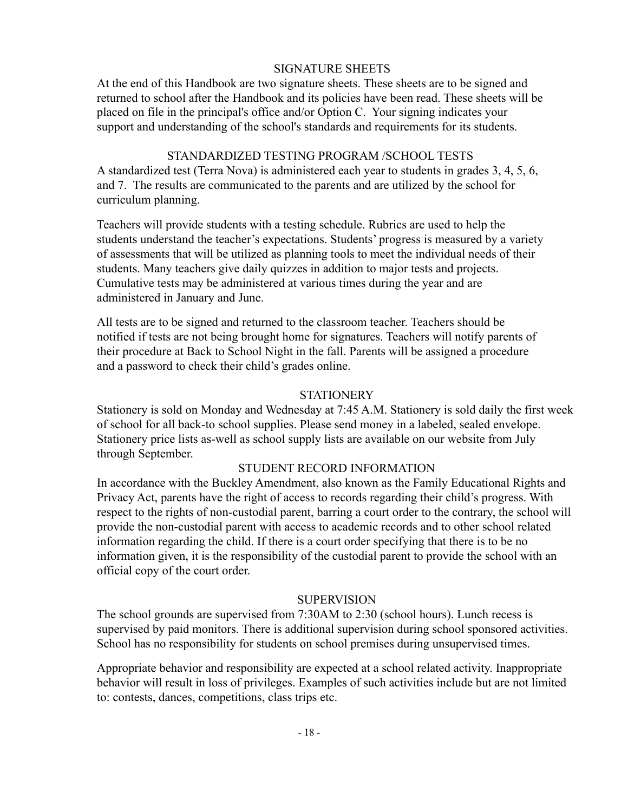#### SIGNATURE SHEETS

At the end of this Handbook are two signature sheets. These sheets are to be signed and returned to school after the Handbook and its policies have been read. These sheets will be placed on file in the principal's office and/or Option C. Your signing indicates your support and understanding of the school's standards and requirements for its students.

#### STANDARDIZED TESTING PROGRAM /SCHOOL TESTS

A standardized test (Terra Nova) is administered each year to students in grades 3, 4, 5, 6, and 7. The results are communicated to the parents and are utilized by the school for curriculum planning.

Teachers will provide students with a testing schedule. Rubrics are used to help the students understand the teacher's expectations. Students' progress is measured by a variety of assessments that will be utilized as planning tools to meet the individual needs of their students. Many teachers give daily quizzes in addition to major tests and projects. Cumulative tests may be administered at various times during the year and are administered in January and June.

All tests are to be signed and returned to the classroom teacher. Teachers should be notified if tests are not being brought home for signatures. Teachers will notify parents of their procedure at Back to School Night in the fall. Parents will be assigned a procedure and a password to check their child's grades online.

#### **STATIONERY**

Stationery is sold on Monday and Wednesday at 7:45 A.M. Stationery is sold daily the first week of school for all back-to school supplies. Please send money in a labeled, sealed envelope. Stationery price lists as-well as school supply lists are available on our website from July through September.

#### STUDENT RECORD INFORMATION

In accordance with the Buckley Amendment, also known as the Family Educational Rights and Privacy Act, parents have the right of access to records regarding their child's progress. With respect to the rights of non-custodial parent, barring a court order to the contrary, the school will provide the non-custodial parent with access to academic records and to other school related information regarding the child. If there is a court order specifying that there is to be no information given, it is the responsibility of the custodial parent to provide the school with an official copy of the court order.

#### **SUPERVISION**

The school grounds are supervised from 7:30AM to 2:30 (school hours). Lunch recess is supervised by paid monitors. There is additional supervision during school sponsored activities. School has no responsibility for students on school premises during unsupervised times.

Appropriate behavior and responsibility are expected at a school related activity. Inappropriate behavior will result in loss of privileges. Examples of such activities include but are not limited to: contests, dances, competitions, class trips etc.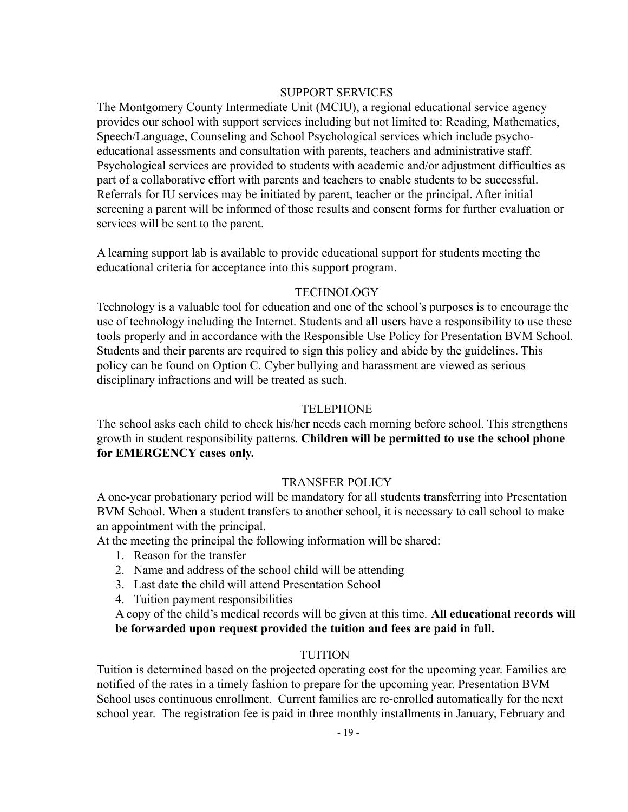#### SUPPORT SERVICES

The Montgomery County Intermediate Unit (MCIU), a regional educational service agency provides our school with support services including but not limited to: Reading, Mathematics, Speech/Language, Counseling and School Psychological services which include psychoeducational assessments and consultation with parents, teachers and administrative staff. Psychological services are provided to students with academic and/or adjustment difficulties as part of a collaborative effort with parents and teachers to enable students to be successful. Referrals for IU services may be initiated by parent, teacher or the principal. After initial screening a parent will be informed of those results and consent forms for further evaluation or services will be sent to the parent.

A learning support lab is available to provide educational support for students meeting the educational criteria for acceptance into this support program.

#### **TECHNOLOGY**

Technology is a valuable tool for education and one of the school's purposes is to encourage the use of technology including the Internet. Students and all users have a responsibility to use these tools properly and in accordance with the Responsible Use Policy for Presentation BVM School. Students and their parents are required to sign this policy and abide by the guidelines. This policy can be found on Option C. Cyber bullying and harassment are viewed as serious disciplinary infractions and will be treated as such.

#### TELEPHONE

The school asks each child to check his/her needs each morning before school. This strengthens growth in student responsibility patterns. **Children will be permitted to use the school phone for EMERGENCY cases only.**

## TRANSFER POLICY

A one-year probationary period will be mandatory for all students transferring into Presentation BVM School. When a student transfers to another school, it is necessary to call school to make an appointment with the principal.

At the meeting the principal the following information will be shared:

- 1. Reason for the transfer
- 2. Name and address of the school child will be attending
- 3. Last date the child will attend Presentation School
- 4. Tuition payment responsibilities

A copy of the child's medical records will be given at this time. **All educational records will be forwarded upon request provided the tuition and fees are paid in full.**

## TUITION

Tuition is determined based on the projected operating cost for the upcoming year. Families are notified of the rates in a timely fashion to prepare for the upcoming year. Presentation BVM School uses continuous enrollment. Current families are re-enrolled automatically for the next school year. The registration fee is paid in three monthly installments in January, February and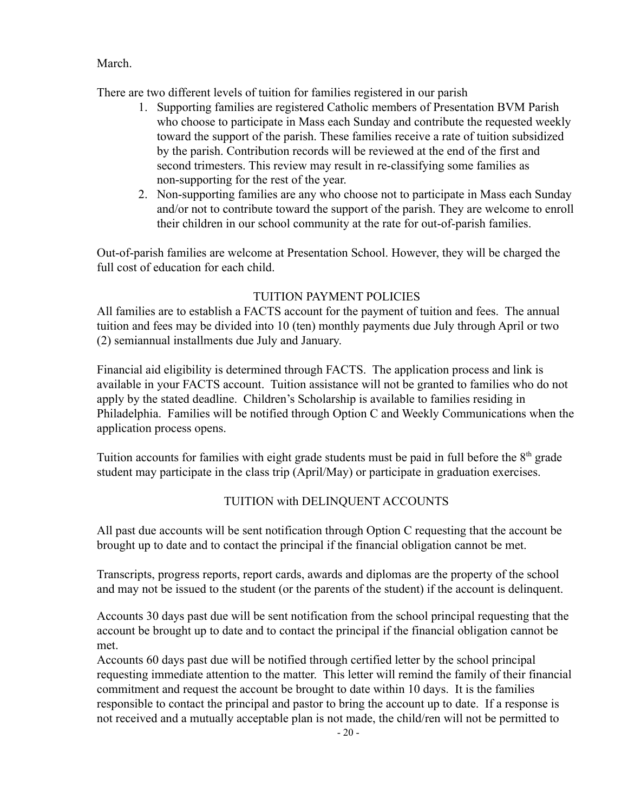March.

There are two different levels of tuition for families registered in our parish

- 1. Supporting families are registered Catholic members of Presentation BVM Parish who choose to participate in Mass each Sunday and contribute the requested weekly toward the support of the parish. These families receive a rate of tuition subsidized by the parish. Contribution records will be reviewed at the end of the first and second trimesters. This review may result in re-classifying some families as non-supporting for the rest of the year.
- 2. Non-supporting families are any who choose not to participate in Mass each Sunday and/or not to contribute toward the support of the parish. They are welcome to enroll their children in our school community at the rate for out-of-parish families.

Out-of-parish families are welcome at Presentation School. However, they will be charged the full cost of education for each child.

## TUITION PAYMENT POLICIES

All families are to establish a FACTS account for the payment of tuition and fees. The annual tuition and fees may be divided into 10 (ten) monthly payments due July through April or two (2) semiannual installments due July and January.

Financial aid eligibility is determined through FACTS. The application process and link is available in your FACTS account. Tuition assistance will not be granted to families who do not apply by the stated deadline. Children's Scholarship is available to families residing in Philadelphia. Families will be notified through Option C and Weekly Communications when the application process opens.

Tuition accounts for families with eight grade students must be paid in full before the  $8<sup>th</sup>$  grade student may participate in the class trip (April/May) or participate in graduation exercises.

## TUITION with DELINQUENT ACCOUNTS

All past due accounts will be sent notification through Option C requesting that the account be brought up to date and to contact the principal if the financial obligation cannot be met.

Transcripts, progress reports, report cards, awards and diplomas are the property of the school and may not be issued to the student (or the parents of the student) if the account is delinquent.

Accounts 30 days past due will be sent notification from the school principal requesting that the account be brought up to date and to contact the principal if the financial obligation cannot be met.

Accounts 60 days past due will be notified through certified letter by the school principal requesting immediate attention to the matter. This letter will remind the family of their financial commitment and request the account be brought to date within 10 days. It is the families responsible to contact the principal and pastor to bring the account up to date. If a response is not received and a mutually acceptable plan is not made, the child/ren will not be permitted to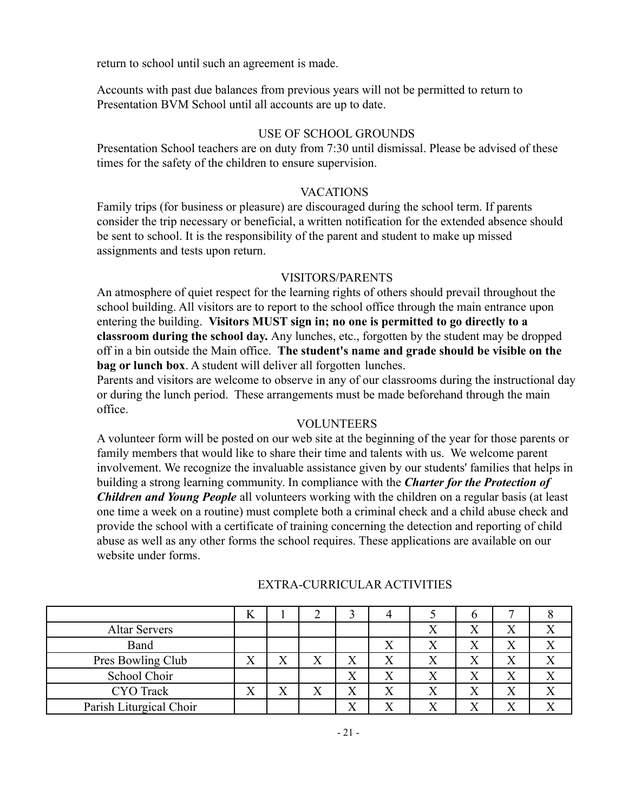return to school until such an agreement is made.

Accounts with past due balances from previous years will not be permitted to return to Presentation BVM School until all accounts are up to date.

#### USE OF SCHOOL GROUNDS

Presentation School teachers are on duty from 7:30 until dismissal. Please be advised of these times for the safety of the children to ensure supervision.

#### VACATIONS

Family trips (for business or pleasure) are discouraged during the school term. If parents consider the trip necessary or beneficial, a written notification for the extended absence should be sent to school. It is the responsibility of the parent and student to make up missed assignments and tests upon return.

#### VISITORS/PARENTS

An atmosphere of quiet respect for the learning rights of others should prevail throughout the school building. All visitors are to report to the school office through the main entrance upon entering the building. **Visitors MUST sign in; no one is permitted to go directly to a classroom during the school day.** Any lunches, etc., forgotten by the student may be dropped off in a bin outside the Main office. **The student's name and grade should be visible on the bag or lunch box**. A student will deliver all forgotten lunches.

Parents and visitors are welcome to observe in any of our classrooms during the instructional day or during the lunch period. These arrangements must be made beforehand through the main office.

#### VOLUNTEERS

A volunteer form will be posted on our web site at the beginning of the year for those parents or family members that would like to share their time and talents with us. We welcome parent involvement. We recognize the invaluable assistance given by our students' families that helps in building a strong learning community. In compliance with the *Charter for the Protection of Children and Young People* all volunteers working with the children on a regular basis (at least one time a week on a routine) must complete both a criminal check and a child abuse check and provide the school with a certificate of training concerning the detection and reporting of child abuse as well as any other forms the school requires. These applications are available on our website under forms.

| <b>Altar Servers</b>    |                   |                           |                  |                          |   |              |              |  |
|-------------------------|-------------------|---------------------------|------------------|--------------------------|---|--------------|--------------|--|
| Band                    |                   |                           |                  |                          |   |              | Χ            |  |
| Pres Bowling Club       | ∡                 | $\mathbf{v}$<br>Λ         | $\mathbf v$<br>Λ | v                        |   |              | X            |  |
| School Choir            |                   |                           |                  | Λ                        |   |              | Χ            |  |
| <b>CYO</b> Track        | $\mathbf{x}$<br>Λ | $\mathbf{v}$<br>$\Lambda$ | X                | $\mathbf v$<br>$\Lambda$ |   | $\mathbf{x}$ | Χ            |  |
| Parish Liturgical Choir |                   |                           |                  | $\mathbf{x}$             | 7 | $\mathbf{x}$ | $\mathbf{v}$ |  |

## EXTRA-CURRICULAR ACTIVITIES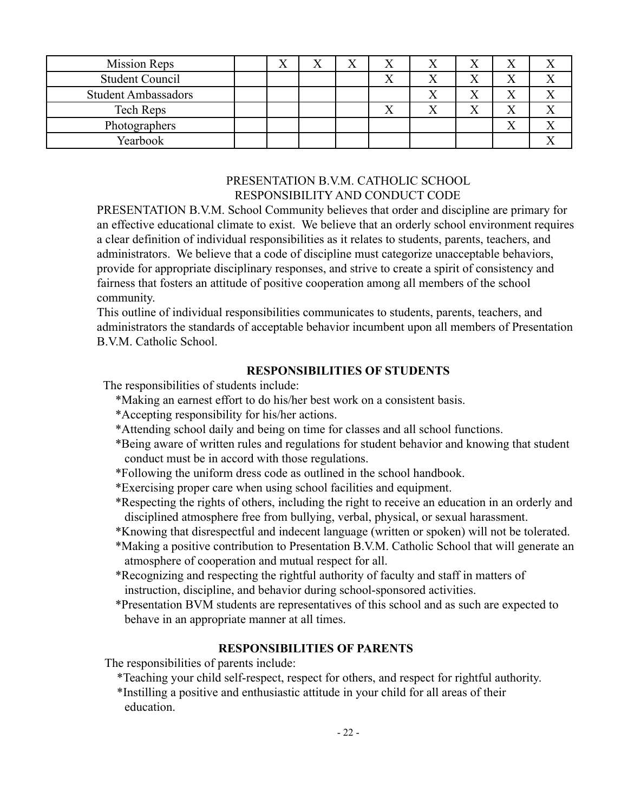| <b>Mission Reps</b>        | ∡ | Λ | <b>x</b> 7<br>△ |  | $\mathbf{v}$<br>Λ |  |
|----------------------------|---|---|-----------------|--|-------------------|--|
| <b>Student Council</b>     |   |   |                 |  | $\mathbf{v}$<br>Λ |  |
| <b>Student Ambassadors</b> |   |   |                 |  | $\mathbf{v}$<br>Λ |  |
| Tech Reps                  |   |   |                 |  | $\mathbf{v}$<br>Λ |  |
| Photographers              |   |   |                 |  | $\mathbf{v}$<br>Λ |  |
| Yearbook                   |   |   |                 |  |                   |  |

## PRESENTATION B.V.M. CATHOLIC SCHOOL RESPONSIBILITY AND CONDUCT CODE

PRESENTATION B.V.M. School Community believes that order and discipline are primary for an effective educational climate to exist. We believe that an orderly school environment requires a clear definition of individual responsibilities as it relates to students, parents, teachers, and administrators. We believe that a code of discipline must categorize unacceptable behaviors, provide for appropriate disciplinary responses, and strive to create a spirit of consistency and fairness that fosters an attitude of positive cooperation among all members of the school community.

This outline of individual responsibilities communicates to students, parents, teachers, and administrators the standards of acceptable behavior incumbent upon all members of Presentation B.V.M. Catholic School.

## **RESPONSIBILITIES OF STUDENTS**

The responsibilities of students include:

- \*Making an earnest effort to do his/her best work on a consistent basis.
- \*Accepting responsibility for his/her actions.
- \*Attending school daily and being on time for classes and all school functions.
- \*Being aware of written rules and regulations for student behavior and knowing that student conduct must be in accord with those regulations.
- \*Following the uniform dress code as outlined in the school handbook.
- \*Exercising proper care when using school facilities and equipment.
- \*Respecting the rights of others, including the right to receive an education in an orderly and disciplined atmosphere free from bullying, verbal, physical, or sexual harassment.
- \*Knowing that disrespectful and indecent language (written or spoken) will not be tolerated.
- \*Making a positive contribution to Presentation B.V.M. Catholic School that will generate an atmosphere of cooperation and mutual respect for all.
- \*Recognizing and respecting the rightful authority of faculty and staff in matters of instruction, discipline, and behavior during school-sponsored activities.
- \*Presentation BVM students are representatives of this school and as such are expected to behave in an appropriate manner at all times.

## **RESPONSIBILITIES OF PARENTS**

The responsibilities of parents include:

- \*Teaching your child self-respect, respect for others, and respect for rightful authority.
- \*Instilling a positive and enthusiastic attitude in your child for all areas of their education.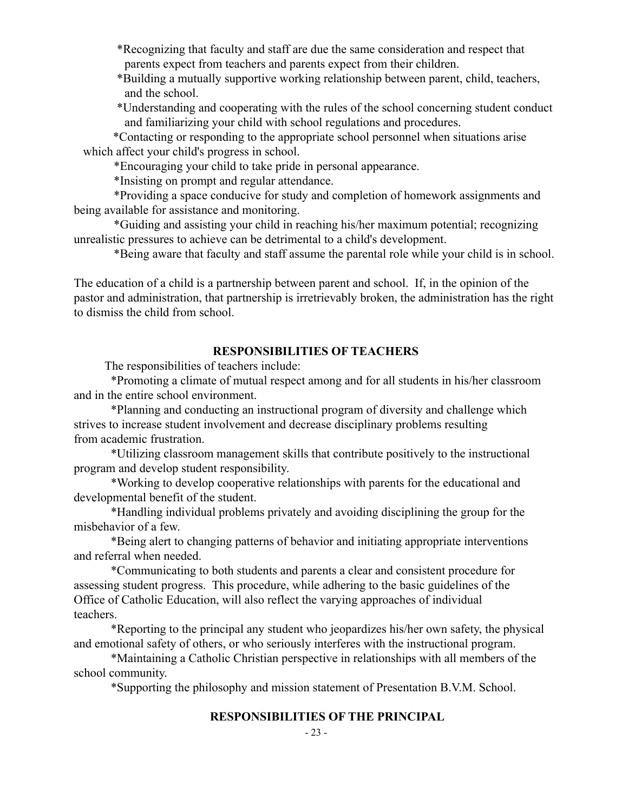\*Recognizing that faculty and staff are due the same consideration and respect that parents expect from teachers and parents expect from their children.

\*Building a mutually supportive working relationship between parent, child, teachers, and the school.

\*Understanding and cooperating with the rules of the school concerning student conduct and familiarizing your child with school regulations and procedures.

\*Contacting or responding to the appropriate school personnel when situations arise which affect your child's progress in school.

\*Encouraging your child to take pride in personal appearance.

\*Insisting on prompt and regular attendance.

\*Providing a space conducive for study and completion of homework assignments and being available for assistance and monitoring.

\*Guiding and assisting your child in reaching his/her maximum potential; recognizing unrealistic pressures to achieve can be detrimental to a child's development.

\*Being aware that faculty and staff assume the parental role while your child is in school.

The education of a child is a partnership between parent and school. If, in the opinion of the pastor and administration, that partnership is irretrievably broken, the administration has the right to dismiss the child from school.

#### **RESPONSIBILITIES OF TEACHERS**

The responsibilities of teachers include:

\*Promoting a climate of mutual respect among and for all students in his/her classroom and in the entire school environment.

\*Planning and conducting an instructional program of diversity and challenge which strives to increase student involvement and decrease disciplinary problems resulting from academic frustration.

\*Utilizing classroom management skills that contribute positively to the instructional program and develop student responsibility.

\*Working to develop cooperative relationships with parents for the educational and developmental benefit of the student.

\*Handling individual problems privately and avoiding disciplining the group for the misbehavior of a few.

\*Being alert to changing patterns of behavior and initiating appropriate interventions and referral when needed.

\*Communicating to both students and parents a clear and consistent procedure for assessing student progress. This procedure, while adhering to the basic guidelines of the Office of Catholic Education, will also reflect the varying approaches of individual teachers.

\*Reporting to the principal any student who jeopardizes his/her own safety, the physical and emotional safety of others, or who seriously interferes with the instructional program.

\*Maintaining a Catholic Christian perspective in relationships with all members of the school community.

\*Supporting the philosophy and mission statement of Presentation B.V.M. School.

## **RESPONSIBILITIES OF THE PRINCIPAL**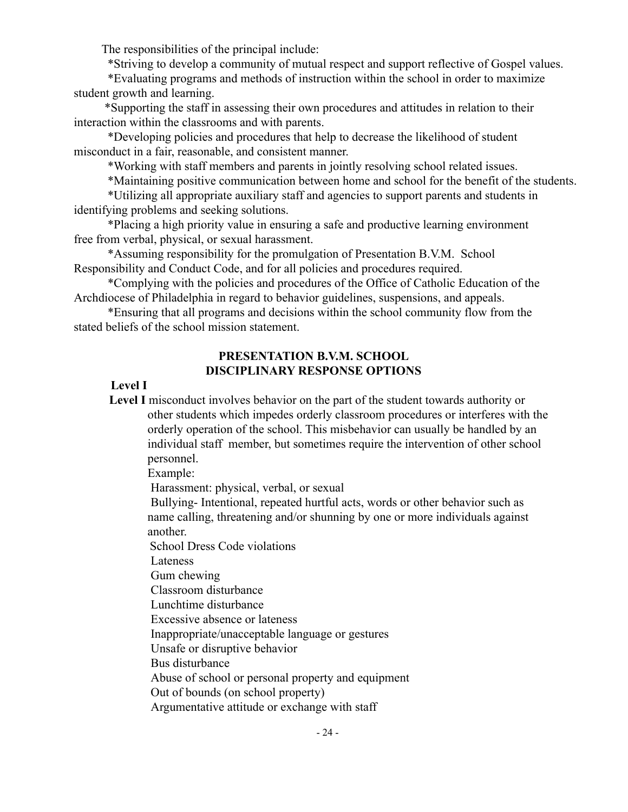The responsibilities of the principal include:

\*Striving to develop a community of mutual respect and support reflective of Gospel values.

\*Evaluating programs and methods of instruction within the school in order to maximize student growth and learning.

\*Supporting the staff in assessing their own procedures and attitudes in relation to their interaction within the classrooms and with parents.

\*Developing policies and procedures that help to decrease the likelihood of student misconduct in a fair, reasonable, and consistent manner.

\*Working with staff members and parents in jointly resolving school related issues.

\*Maintaining positive communication between home and school for the benefit of the students.

\*Utilizing all appropriate auxiliary staff and agencies to support parents and students in identifying problems and seeking solutions.

\*Placing a high priority value in ensuring a safe and productive learning environment free from verbal, physical, or sexual harassment.

\*Assuming responsibility for the promulgation of Presentation B.V.M. School Responsibility and Conduct Code, and for all policies and procedures required.

\*Complying with the policies and procedures of the Office of Catholic Education of the Archdiocese of Philadelphia in regard to behavior guidelines, suspensions, and appeals.

\*Ensuring that all programs and decisions within the school community flow from the stated beliefs of the school mission statement.

## **PRESENTATION B.V.M. SCHOOL DISCIPLINARY RESPONSE OPTIONS**

#### **Level I**

**Level I** misconduct involves behavior on the part of the student towards authority or other students which impedes orderly classroom procedures or interferes with the orderly operation of the school. This misbehavior can usually be handled by an individual staff member, but sometimes require the intervention of other school personnel.

Example:

Harassment: physical, verbal, or sexual

Bullying- Intentional, repeated hurtful acts, words or other behavior such as name calling, threatening and/or shunning by one or more individuals against another.

School Dress Code violations

Lateness

Gum chewing

Classroom disturbance

Lunchtime disturbance

Excessive absence or lateness

Inappropriate/unacceptable language or gestures

Unsafe or disruptive behavior

Bus disturbance

Abuse of school or personal property and equipment

Out of bounds (on school property)

Argumentative attitude or exchange with staff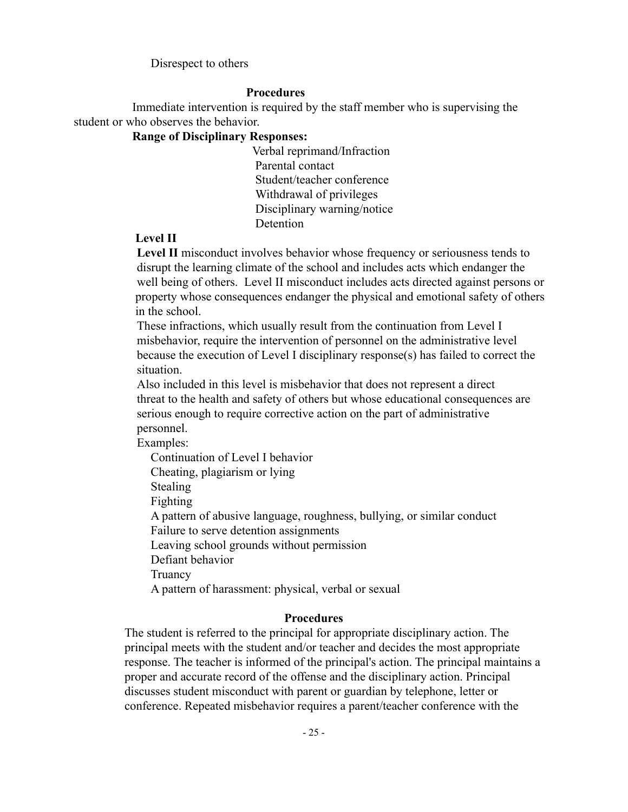Disrespect to others

#### **Procedures**

Immediate intervention is required by the staff member who is supervising the student or who observes the behavior.

#### **Range of Disciplinary Responses:**

Verbal reprimand/Infraction Parental contact Student/teacher conference Withdrawal of privileges Disciplinary warning/notice Detention

#### **Level II**

**Level II** misconduct involves behavior whose frequency or seriousness tends to disrupt the learning climate of the school and includes acts which endanger the well being of others. Level II misconduct includes acts directed against persons or property whose consequences endanger the physical and emotional safety of others in the school.

These infractions, which usually result from the continuation from Level I misbehavior, require the intervention of personnel on the administrative level because the execution of Level I disciplinary response(s) has failed to correct the situation.

Also included in this level is misbehavior that does not represent a direct threat to the health and safety of others but whose educational consequences are serious enough to require corrective action on the part of administrative personnel.

Examples:

Continuation of Level I behavior Cheating, plagiarism or lying Stealing Fighting A pattern of abusive language, roughness, bullying, or similar conduct Failure to serve detention assignments Leaving school grounds without permission Defiant behavior **Truancy** A pattern of harassment: physical, verbal or sexual

#### **Procedures**

The student is referred to the principal for appropriate disciplinary action. The principal meets with the student and/or teacher and decides the most appropriate response. The teacher is informed of the principal's action. The principal maintains a proper and accurate record of the offense and the disciplinary action. Principal discusses student misconduct with parent or guardian by telephone, letter or conference. Repeated misbehavior requires a parent/teacher conference with the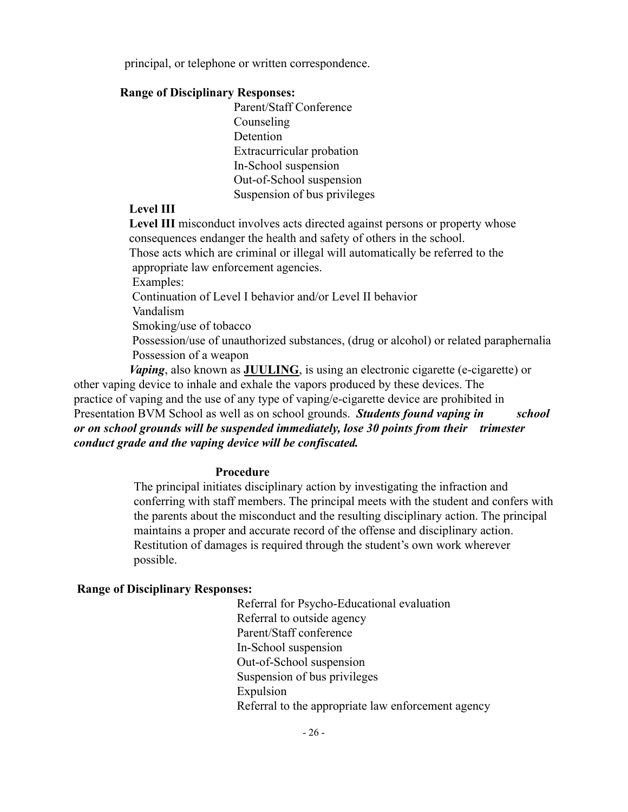principal, or telephone or written correspondence.

#### **Range of Disciplinary Responses:**

Parent/Staff Conference Counseling **Detention** Extracurricular probation In-School suspension Out-of-School suspension Suspension of bus privileges

## **Level III**

**Level III** misconduct involves acts directed against persons or property whose consequences endanger the health and safety of others in the school. Those acts which are criminal or illegal will automatically be referred to the appropriate law enforcement agencies. Examples: Continuation of Level I behavior and/or Level II behavior Vandalism Smoking/use of tobacco Possession/use of unauthorized substances, (drug or alcohol) or related paraphernalia Possession of a weapon

*Vaping*, also known as **JUULING**, is using an electronic cigarette (e-cigarette) or other vaping device to inhale and exhale the vapors produced by these devices. The practice of vaping and the use of any type of vaping/e-cigarette device are prohibited in Presentation BVM School as well as on school grounds. *Students found vaping in school or on school grounds will be suspended immediately, lose 30 points from their trimester conduct grade and the vaping device will be confiscated.*

#### **Procedure**

The principal initiates disciplinary action by investigating the infraction and conferring with staff members. The principal meets with the student and confers with the parents about the misconduct and the resulting disciplinary action. The principal maintains a proper and accurate record of the offense and disciplinary action. Restitution of damages is required through the student's own work wherever possible.

#### **Range of Disciplinary Responses:**

Referral for Psycho-Educational evaluation Referral to outside agency Parent/Staff conference In-School suspension Out-of-School suspension Suspension of bus privileges Expulsion Referral to the appropriate law enforcement agency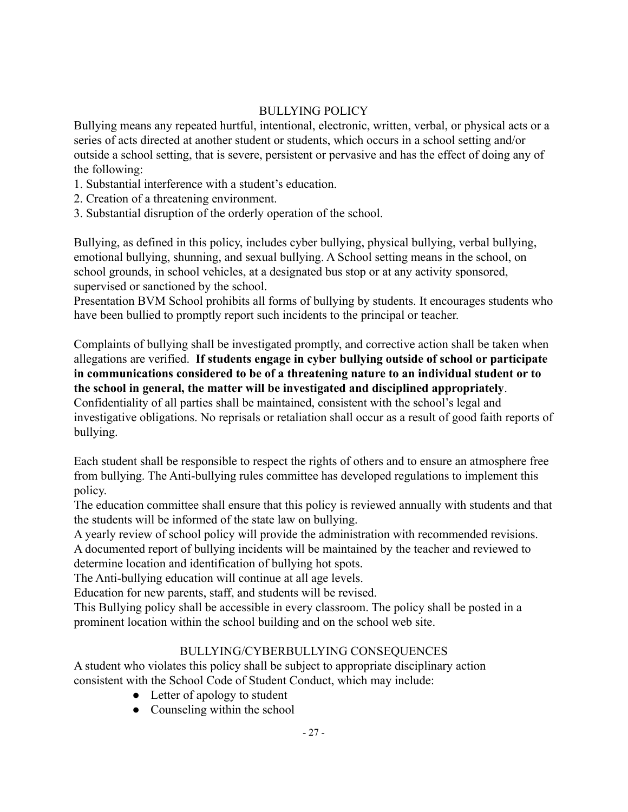## BULLYING POLICY

Bullying means any repeated hurtful, intentional, electronic, written, verbal, or physical acts or a series of acts directed at another student or students, which occurs in a school setting and/or outside a school setting, that is severe, persistent or pervasive and has the effect of doing any of the following:

- 1. Substantial interference with a student's education.
- 2. Creation of a threatening environment.
- 3. Substantial disruption of the orderly operation of the school.

Bullying, as defined in this policy, includes cyber bullying, physical bullying, verbal bullying, emotional bullying, shunning, and sexual bullying. A School setting means in the school, on school grounds, in school vehicles, at a designated bus stop or at any activity sponsored, supervised or sanctioned by the school.

Presentation BVM School prohibits all forms of bullying by students. It encourages students who have been bullied to promptly report such incidents to the principal or teacher.

Complaints of bullying shall be investigated promptly, and corrective action shall be taken when allegations are verified. **If students engage in cyber bullying outside of school or participate in communications considered to be of a threatening nature to an individual student or to the school in general, the matter will be investigated and disciplined appropriately**. Confidentiality of all parties shall be maintained, consistent with the school's legal and investigative obligations. No reprisals or retaliation shall occur as a result of good faith reports of bullying.

Each student shall be responsible to respect the rights of others and to ensure an atmosphere free from bullying. The Anti-bullying rules committee has developed regulations to implement this policy.

The education committee shall ensure that this policy is reviewed annually with students and that the students will be informed of the state law on bullying.

A yearly review of school policy will provide the administration with recommended revisions. A documented report of bullying incidents will be maintained by the teacher and reviewed to determine location and identification of bullying hot spots.

The Anti-bullying education will continue at all age levels.

Education for new parents, staff, and students will be revised.

This Bullying policy shall be accessible in every classroom. The policy shall be posted in a prominent location within the school building and on the school web site.

## BULLYING/CYBERBULLYING CONSEQUENCES

A student who violates this policy shall be subject to appropriate disciplinary action consistent with the School Code of Student Conduct, which may include:

- Letter of apology to student
- Counseling within the school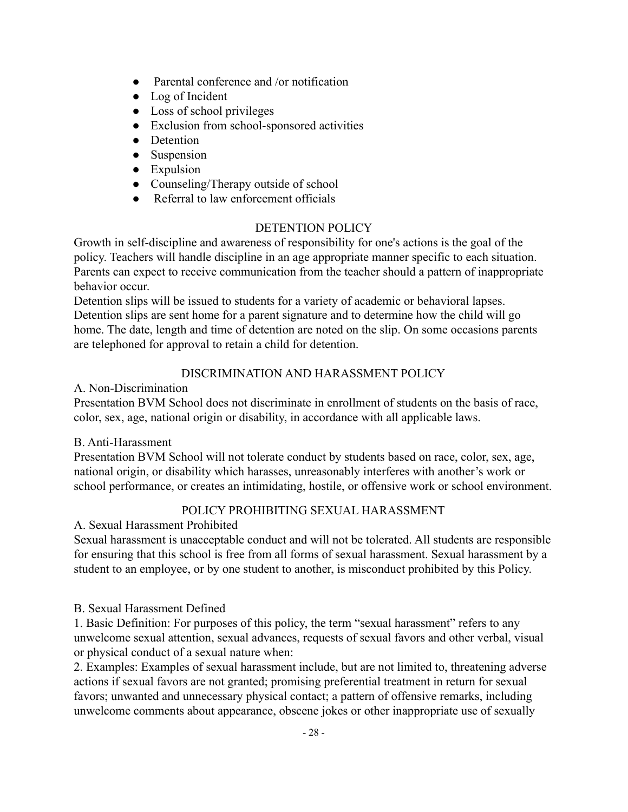- Parental conference and /or notification
- Log of Incident
- Loss of school privileges
- Exclusion from school-sponsored activities
- Detention
- Suspension
- Expulsion
- Counseling/Therapy outside of school
- Referral to law enforcement officials

## DETENTION POLICY

Growth in self-discipline and awareness of responsibility for one's actions is the goal of the policy. Teachers will handle discipline in an age appropriate manner specific to each situation. Parents can expect to receive communication from the teacher should a pattern of inappropriate behavior occur.

Detention slips will be issued to students for a variety of academic or behavioral lapses. Detention slips are sent home for a parent signature and to determine how the child will go home. The date, length and time of detention are noted on the slip. On some occasions parents are telephoned for approval to retain a child for detention.

## DISCRIMINATION AND HARASSMENT POLICY

A. Non-Discrimination

Presentation BVM School does not discriminate in enrollment of students on the basis of race, color, sex, age, national origin or disability, in accordance with all applicable laws.

## B. Anti-Harassment

Presentation BVM School will not tolerate conduct by students based on race, color, sex, age, national origin, or disability which harasses, unreasonably interferes with another's work or school performance, or creates an intimidating, hostile, or offensive work or school environment.

## POLICY PROHIBITING SEXUAL HARASSMENT

A. Sexual Harassment Prohibited

Sexual harassment is unacceptable conduct and will not be tolerated. All students are responsible for ensuring that this school is free from all forms of sexual harassment. Sexual harassment by a student to an employee, or by one student to another, is misconduct prohibited by this Policy.

## B. Sexual Harassment Defined

1. Basic Definition: For purposes of this policy, the term "sexual harassment" refers to any unwelcome sexual attention, sexual advances, requests of sexual favors and other verbal, visual or physical conduct of a sexual nature when:

2. Examples: Examples of sexual harassment include, but are not limited to, threatening adverse actions if sexual favors are not granted; promising preferential treatment in return for sexual favors; unwanted and unnecessary physical contact; a pattern of offensive remarks, including unwelcome comments about appearance, obscene jokes or other inappropriate use of sexually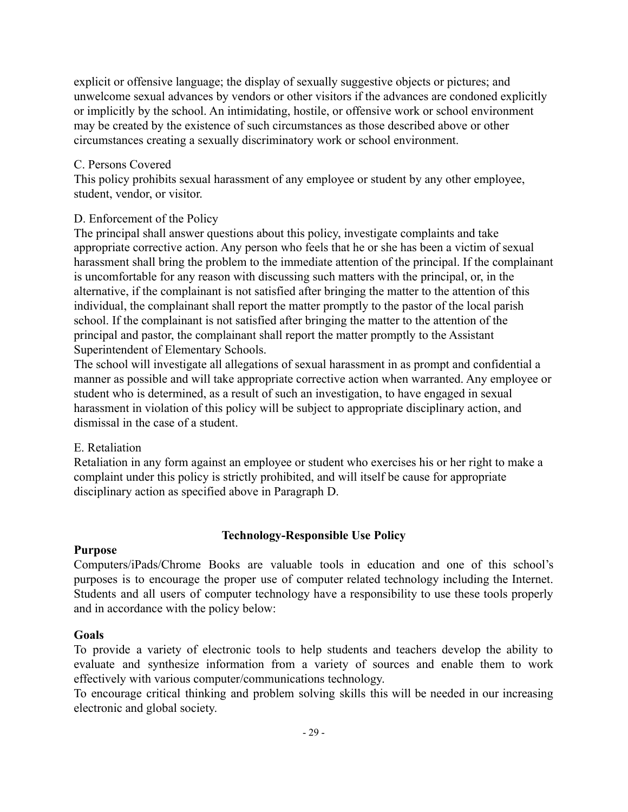explicit or offensive language; the display of sexually suggestive objects or pictures; and unwelcome sexual advances by vendors or other visitors if the advances are condoned explicitly or implicitly by the school. An intimidating, hostile, or offensive work or school environment may be created by the existence of such circumstances as those described above or other circumstances creating a sexually discriminatory work or school environment.

#### C. Persons Covered

This policy prohibits sexual harassment of any employee or student by any other employee, student, vendor, or visitor.

## D. Enforcement of the Policy

The principal shall answer questions about this policy, investigate complaints and take appropriate corrective action. Any person who feels that he or she has been a victim of sexual harassment shall bring the problem to the immediate attention of the principal. If the complainant is uncomfortable for any reason with discussing such matters with the principal, or, in the alternative, if the complainant is not satisfied after bringing the matter to the attention of this individual, the complainant shall report the matter promptly to the pastor of the local parish school. If the complainant is not satisfied after bringing the matter to the attention of the principal and pastor, the complainant shall report the matter promptly to the Assistant Superintendent of Elementary Schools.

The school will investigate all allegations of sexual harassment in as prompt and confidential a manner as possible and will take appropriate corrective action when warranted. Any employee or student who is determined, as a result of such an investigation, to have engaged in sexual harassment in violation of this policy will be subject to appropriate disciplinary action, and dismissal in the case of a student.

## E. Retaliation

Retaliation in any form against an employee or student who exercises his or her right to make a complaint under this policy is strictly prohibited, and will itself be cause for appropriate disciplinary action as specified above in Paragraph D.

## **Technology-Responsible Use Policy**

#### **Purpose**

Computers/iPads/Chrome Books are valuable tools in education and one of this school's purposes is to encourage the proper use of computer related technology including the Internet. Students and all users of computer technology have a responsibility to use these tools properly and in accordance with the policy below:

## **Goals**

To provide a variety of electronic tools to help students and teachers develop the ability to evaluate and synthesize information from a variety of sources and enable them to work effectively with various computer/communications technology.

To encourage critical thinking and problem solving skills this will be needed in our increasing electronic and global society.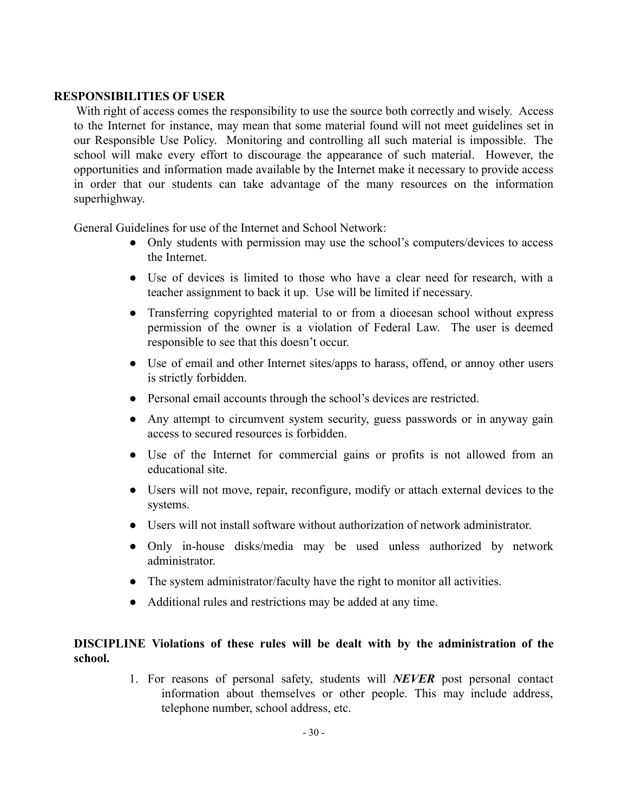#### **RESPONSIBILITIES OF USER**

With right of access comes the responsibility to use the source both correctly and wisely. Access to the Internet for instance, may mean that some material found will not meet guidelines set in our Responsible Use Policy. Monitoring and controlling all such material is impossible. The school will make every effort to discourage the appearance of such material. However, the opportunities and information made available by the Internet make it necessary to provide access in order that our students can take advantage of the many resources on the information superhighway.

General Guidelines for use of the Internet and School Network:

- Only students with permission may use the school's computers/devices to access the Internet.
- Use of devices is limited to those who have a clear need for research, with a teacher assignment to back it up. Use will be limited if necessary.
- Transferring copyrighted material to or from a diocesan school without express permission of the owner is a violation of Federal Law. The user is deemed responsible to see that this doesn't occur.
- Use of email and other Internet sites/apps to harass, offend, or annoy other users is strictly forbidden.
- Personal email accounts through the school's devices are restricted.
- Any attempt to circumvent system security, guess passwords or in anyway gain access to secured resources is forbidden.
- Use of the Internet for commercial gains or profits is not allowed from an educational site.
- Users will not move, repair, reconfigure, modify or attach external devices to the systems.
- Users will not install software without authorization of network administrator.
- Only in-house disks/media may be used unless authorized by network administrator.
- The system administrator/faculty have the right to monitor all activities.
- Additional rules and restrictions may be added at any time.

## **DISCIPLINE Violations of these rules will be dealt with by the administration of the school.**

1. For reasons of personal safety, students will *NEVER* post personal contact information about themselves or other people. This may include address, telephone number, school address, etc.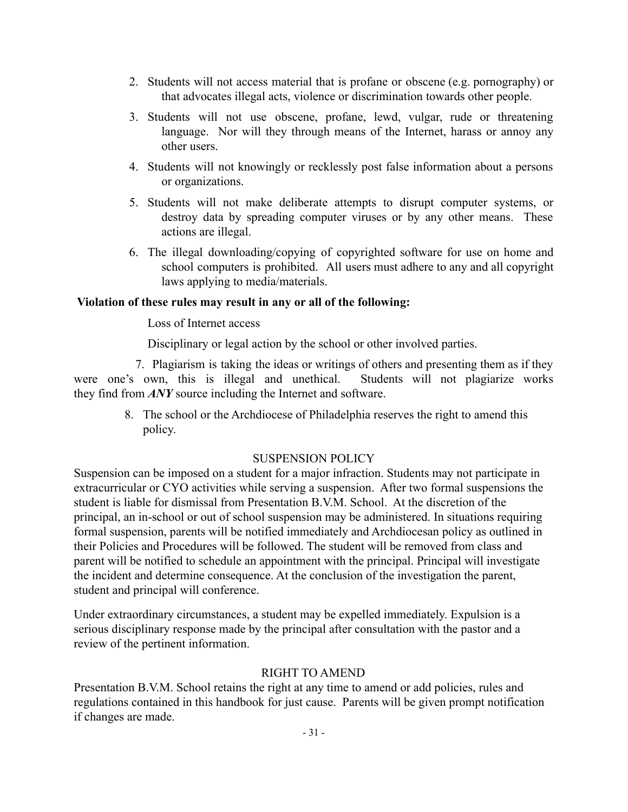- 2. Students will not access material that is profane or obscene (e.g. pornography) or that advocates illegal acts, violence or discrimination towards other people.
- 3. Students will not use obscene, profane, lewd, vulgar, rude or threatening language. Nor will they through means of the Internet, harass or annoy any other users.
- 4. Students will not knowingly or recklessly post false information about a persons or organizations.
- 5. Students will not make deliberate attempts to disrupt computer systems, or destroy data by spreading computer viruses or by any other means. These actions are illegal.
- 6. The illegal downloading/copying of copyrighted software for use on home and school computers is prohibited. All users must adhere to any and all copyright laws applying to media/materials.

## **Violation of these rules may result in any or all of the following:**

Loss of Internet access

Disciplinary or legal action by the school or other involved parties.

7. Plagiarism is taking the ideas or writings of others and presenting them as if they were one's own, this is illegal and unethical. Students will not plagiarize works they find from *ANY* source including the Internet and software.

> 8. The school or the Archdiocese of Philadelphia reserves the right to amend this policy.

## SUSPENSION POLICY

Suspension can be imposed on a student for a major infraction. Students may not participate in extracurricular or CYO activities while serving a suspension. After two formal suspensions the student is liable for dismissal from Presentation B.V.M. School. At the discretion of the principal, an in-school or out of school suspension may be administered. In situations requiring formal suspension, parents will be notified immediately and Archdiocesan policy as outlined in their Policies and Procedures will be followed. The student will be removed from class and parent will be notified to schedule an appointment with the principal. Principal will investigate the incident and determine consequence. At the conclusion of the investigation the parent, student and principal will conference.

Under extraordinary circumstances, a student may be expelled immediately. Expulsion is a serious disciplinary response made by the principal after consultation with the pastor and a review of the pertinent information.

## RIGHT TO AMEND

Presentation B.V.M. School retains the right at any time to amend or add policies, rules and regulations contained in this handbook for just cause. Parents will be given prompt notification if changes are made.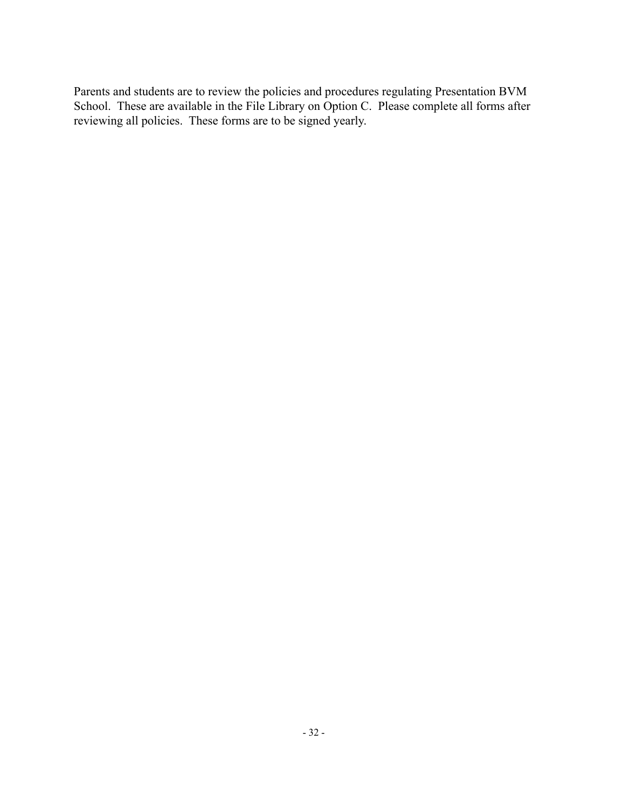Parents and students are to review the policies and procedures regulating Presentation BVM School. These are available in the File Library on Option C. Please complete all forms after reviewing all policies. These forms are to be signed yearly.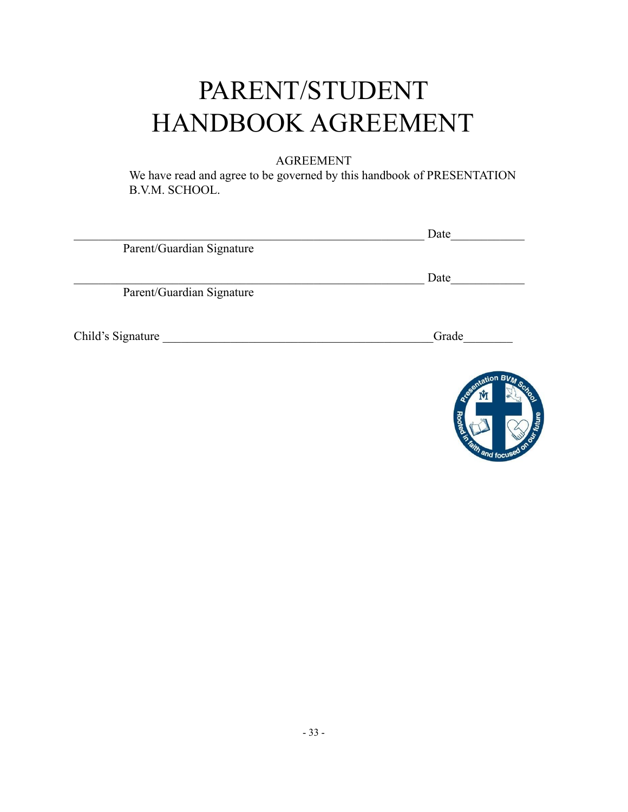# PARENT/STUDENT HANDBOOK AGREEMENT

## AGREEMENT

We have read and agree to be governed by this handbook of PRESENTATION B.V.M. SCHOOL.

| Date  |
|-------|
|       |
| Date  |
|       |
|       |
| Grade |
|       |